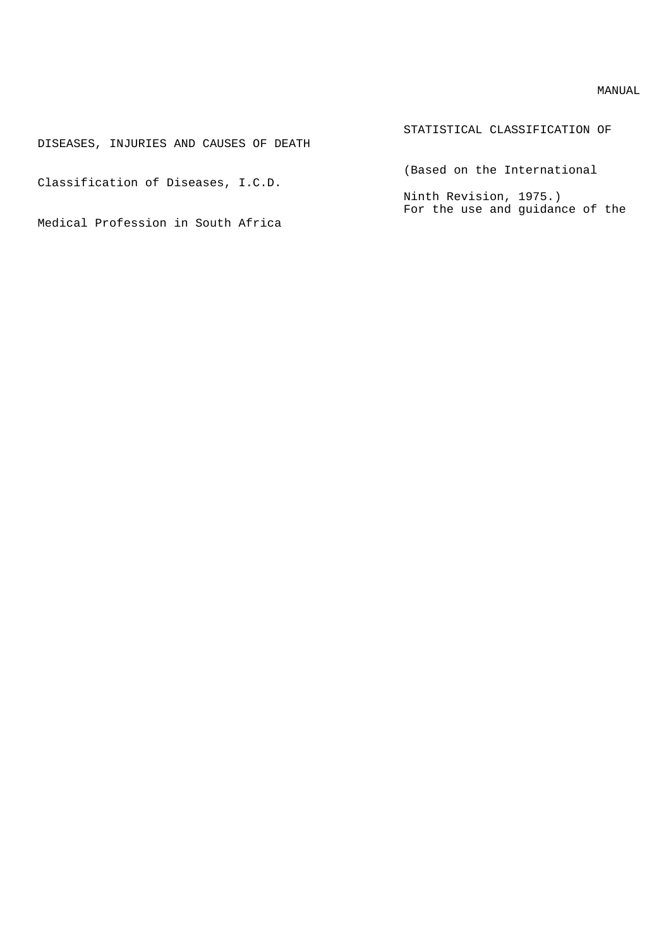## MANUAL

| DISEASES, INJURIES AND CAUSES OF DEATH | STATISTICAL CLASSIFICATION OF                             |
|----------------------------------------|-----------------------------------------------------------|
| Classification of Diseases, I.C.D.     | (Based on the International                               |
|                                        | Ninth Revision, 1975.)<br>For the use and quidance of the |
| Medical Profession in South Africa     |                                                           |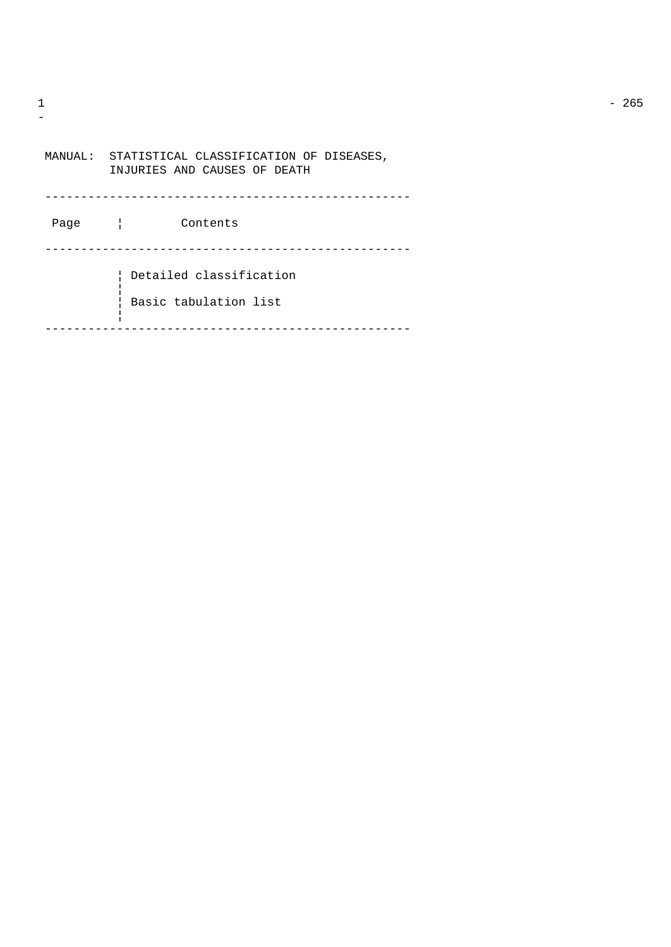| MANUAL: | STATISTICAL CLASSIFICATION OF DISEASES,<br>INJURIES AND CAUSES OF DEATH |
|---------|-------------------------------------------------------------------------|
| Page    | Contents                                                                |
|         | Detailed classification<br>Basic tabulation list                        |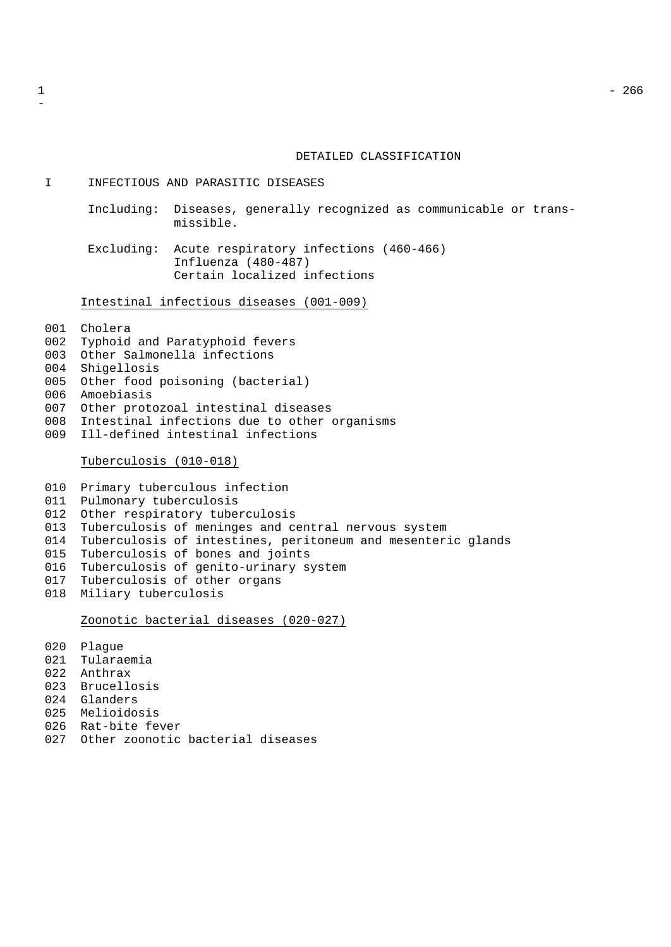## DETAILED CLASSIFICATION

I INFECTIOUS AND PARASITIC DISEASES

- Including: Diseases, generally recognized as communicable or transmissible.
- Excluding: Acute respiratory infections (460-466) Influenza (480-487) Certain localized infections

Intestinal infectious diseases (001-009)

Cholera

- Typhoid and Paratyphoid fevers
- Other Salmonella infections
- Shigellosis
- Other food poisoning (bacterial)
- Amoebiasis
- Other protozoal intestinal diseases
- Intestinal infections due to other organisms
- Ill-defined intestinal infections

Tuberculosis (010-018)

- Primary tuberculous infection Pulmonary tuberculosis Other respiratory tuberculosis Tuberculosis of meninges and central nervous system Tuberculosis of intestines, peritoneum and mesenteric glands Tuberculosis of bones and joints Tuberculosis of genito-urinary system Tuberculosis of other organs Miliary tuberculosis Zoonotic bacterial diseases (020-027)
- Plague Tularaemia Anthrax Brucellosis Glanders Melioidosis Rat-bite fever Other zoonotic bacterial diseases

 $1 - 266$ 

-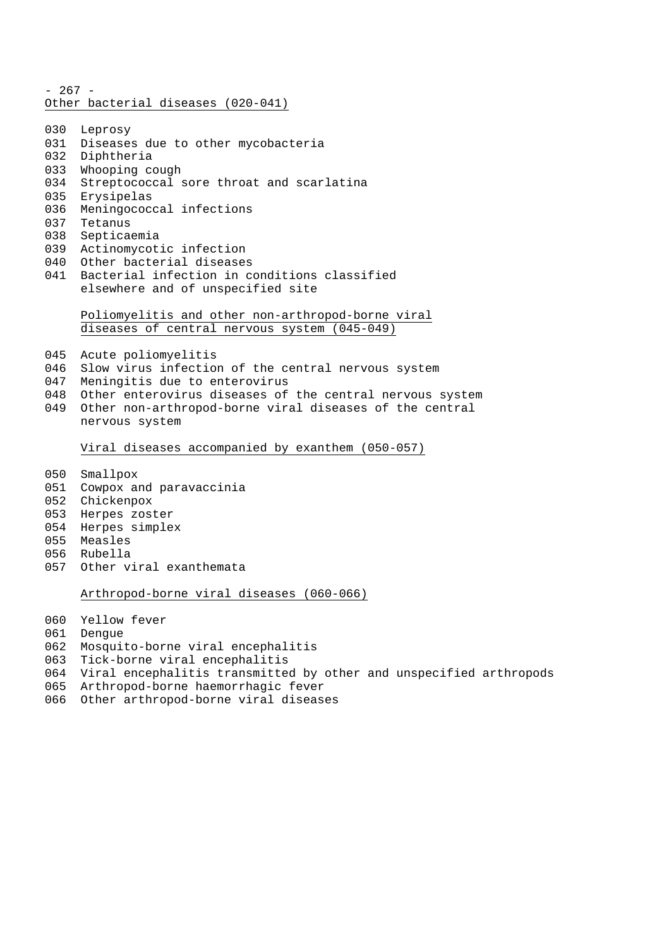- 267 - Other bacterial diseases (020-041)

- Leprosy
- Diseases due to other mycobacteria
- Diphtheria
- Whooping cough
- Streptococcal sore throat and scarlatina
- Erysipelas
- Meningococcal infections
- Tetanus
- Septicaemia
- Actinomycotic infection
- Other bacterial diseases
- Bacterial infection in conditions classified elsewhere and of unspecified site

Poliomyelitis and other non-arthropod-borne viral diseases of central nervous system (045-049)

- Acute poliomyelitis
- Slow virus infection of the central nervous system
- Meningitis due to enterovirus
- 048 Other enterovirus diseases of the central nervous system
- Other non-arthropod-borne viral diseases of the central nervous system

Viral diseases accompanied by exanthem (050-057)

- Smallpox
- Cowpox and paravaccinia
- Chickenpox
- Herpes zoster
- Herpes simplex
- Measles
- Rubella
- Other viral exanthemata

Arthropod-borne viral diseases (060-066)

- Yellow fever
- Dengue
- Mosquito-borne viral encephalitis
- Tick-borne viral encephalitis
- Viral encephalitis transmitted by other and unspecified arthropods
- Arthropod-borne haemorrhagic fever
- Other arthropod-borne viral diseases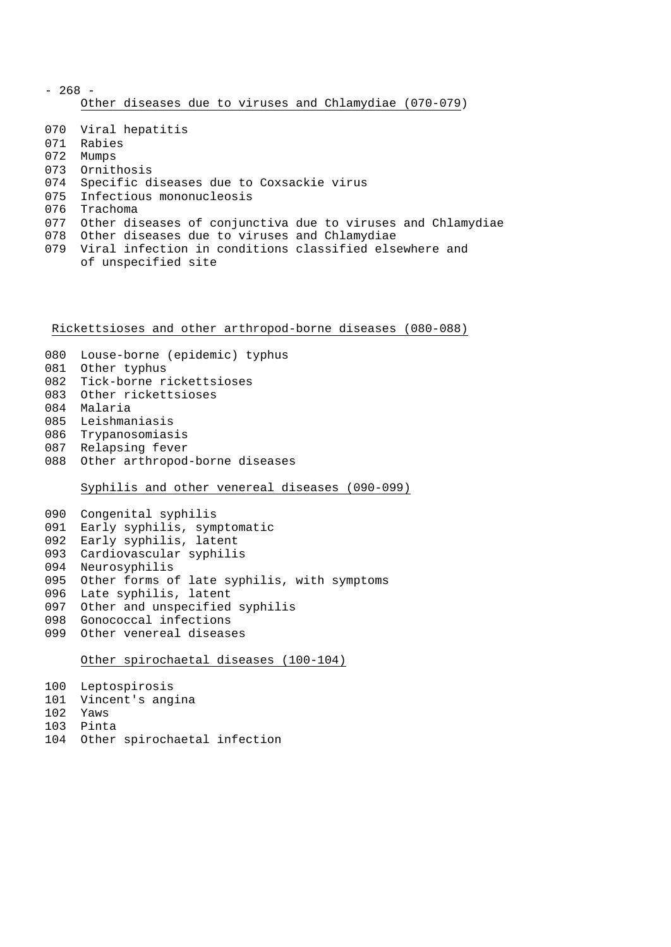| - 268 - |  |                     |  |  |  |  |                                                        |  |  |
|---------|--|---------------------|--|--|--|--|--------------------------------------------------------|--|--|
|         |  |                     |  |  |  |  | Other diseases due to viruses and Chlamydiae (070-079) |  |  |
|         |  |                     |  |  |  |  |                                                        |  |  |
|         |  | 070 Viral hepatitis |  |  |  |  |                                                        |  |  |

- Rabies
- Mumps
- Ornithosis
- Specific diseases due to Coxsackie virus
- Infectious mononucleosis
- Trachoma
- Other diseases of conjunctiva due to viruses and Chlamydiae
- Other diseases due to viruses and Chlamydiae
- Viral infection in conditions classified elsewhere and of unspecified site

Rickettsioses and other arthropod-borne diseases (080-088)

- Louse-borne (epidemic) typhus
- Other typhus
- Tick-borne rickettsioses
- Other rickettsioses
- Malaria
- Leishmaniasis
- Trypanosomiasis
- Relapsing fever
- Other arthropod-borne diseases

Syphilis and other venereal diseases (090-099)

 Congenital syphilis Early syphilis, symptomatic Early syphilis, latent Cardiovascular syphilis Neurosyphilis Other forms of late syphilis, with symptoms Late syphilis, latent Other and unspecified syphilis Gonococcal infections Other venereal diseases

# Other spirochaetal diseases (100-104)

- Leptospirosis
- Vincent's angina
- Yaws
- Pinta
- Other spirochaetal infection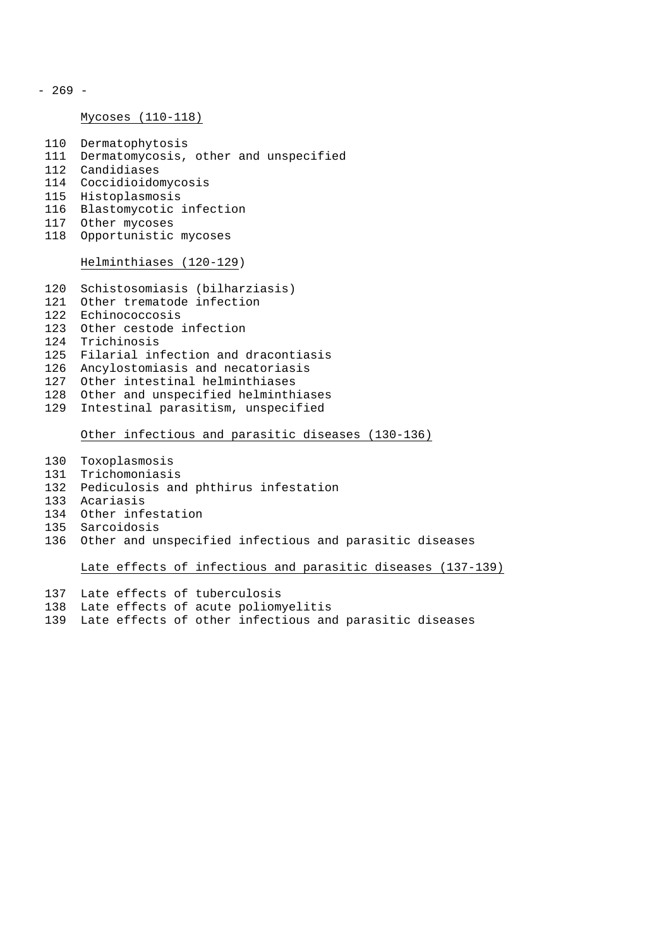- 269 -

## Mycoses (110-118)

- Dermatophytosis Dermatomycosis, other and unspecified
- Candidiases
- Coccidioidomycosis
- Histoplasmosis
- Blastomycotic infection
- Other mycoses
- Opportunistic mycoses

# Helminthiases (120-129)

- Schistosomiasis (bilharziasis)
- Other trematode infection
- Echinococcosis
- Other cestode infection
- Trichinosis
- Filarial infection and dracontiasis
- Ancylostomiasis and necatoriasis
- Other intestinal helminthiases
- Other and unspecified helminthiases
- Intestinal parasitism, unspecified

## Other infectious and parasitic diseases (130-136)

- Toxoplasmosis
- Trichomoniasis
- Pediculosis and phthirus infestation
- Acariasis
- Other infestation
- Sarcoidosis
- Other and unspecified infectious and parasitic diseases

Late effects of infectious and parasitic diseases (137-139)

- Late effects of tuberculosis
- Late effects of acute poliomyelitis
- Late effects of other infectious and parasitic diseases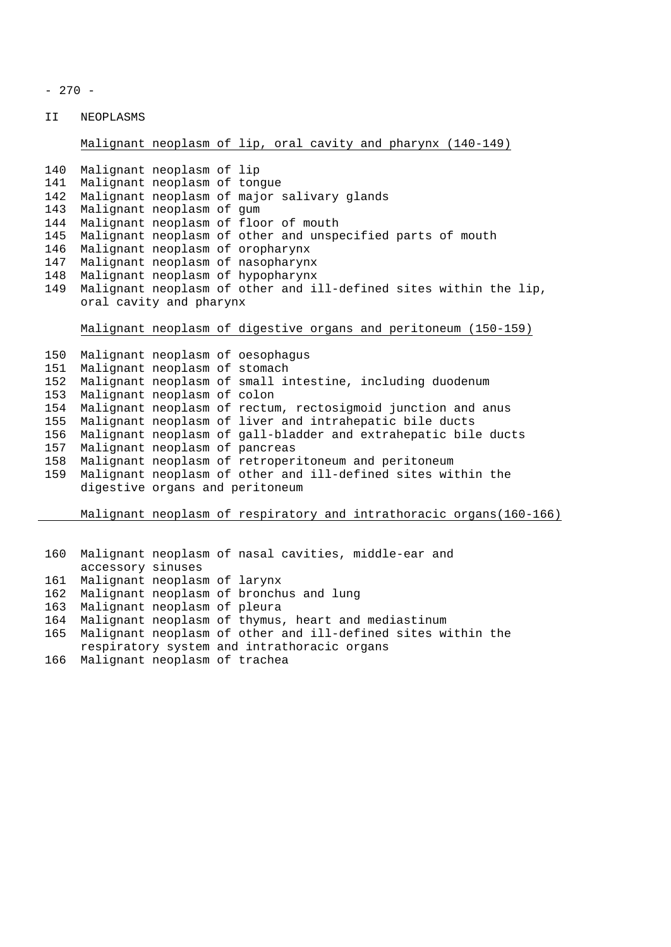- 270 -

II NEOPLASMS

# Malignant neoplasm of lip, oral cavity and pharynx (140-149)

```
140 Malignant neoplasm of lip
141 Malignant neoplasm of tongue
142 Malignant neoplasm of major salivary glands
143 Malignant neoplasm of gum
144 Malignant neoplasm of floor of mouth
145 Malignant neoplasm of other and unspecified parts of mouth
146 Malignant neoplasm of oropharynx
147 Malignant neoplasm of nasopharynx
148 Malignant neoplasm of hypopharynx
149 Malignant neoplasm of other and ill-defined sites within the lip,
    oral cavity and pharynx
```
Malignant neoplasm of digestive organs and peritoneum (150-159)

```
150 Malignant neoplasm of oesophagus
151 Malignant neoplasm of stomach
152 Malignant neoplasm of small intestine, including duodenum
153 Malignant neoplasm of colon
154 Malignant neoplasm of rectum, rectosigmoid junction and anus
155 Malignant neoplasm of liver and intrahepatic bile ducts
156 Malignant neoplasm of gall-bladder and extrahepatic bile ducts
157 Malignant neoplasm of pancreas
158 Malignant neoplasm of retroperitoneum and peritoneum
159 Malignant neoplasm of other and ill-defined sites within the
    digestive organs and peritoneum
    Malignant neoplasm of respiratory and intrathoracic organs(160-166)
160 Malignant neoplasm of nasal cavities, middle-ear and
    accessory sinuses
161 Malignant neoplasm of larynx
162 Malignant neoplasm of bronchus and lung
```

```
163 Malignant neoplasm of pleura
```

```
164 Malignant neoplasm of thymus, heart and mediastinum
```

```
165 Malignant neoplasm of other and ill-defined sites within the
```

```
respiratory system and intrathoracic organs
```

```
166 Malignant neoplasm of trachea
```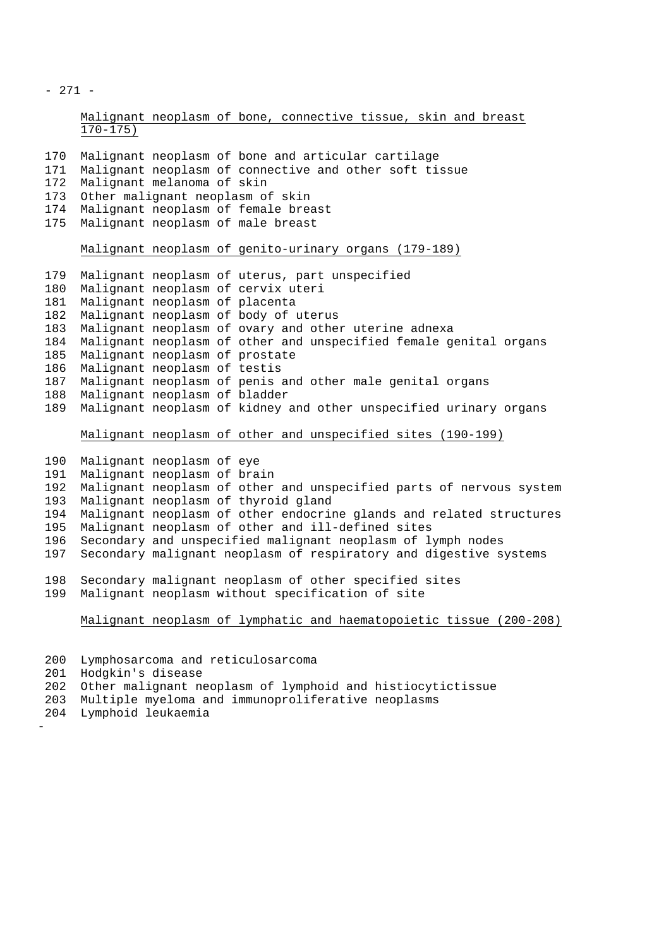- 271 -

```
Malignant neoplasm of bone, connective tissue, skin and breast
170-175)
```

| 170 Malignant neoplasm of bone and articular cartilage     |
|------------------------------------------------------------|
| 171 Malignant neoplasm of connective and other soft tissue |
| 172 Malignant melanoma of skin                             |
| 173 Other malignant neoplasm of skin                       |
| 174 Malignant neoplasm of female breast                    |
| 175 Malignant neoplasm of male breast                      |
|                                                            |

# Malignant neoplasm of genito-urinary organs (179-189)

| 179 |                                | Malignant neoplasm of uterus, part unspecified                    |
|-----|--------------------------------|-------------------------------------------------------------------|
| 180 |                                | Malignant neoplasm of cervix uteri                                |
| 181 | Malignant neoplasm of placenta |                                                                   |
| 182 |                                | Malignant neoplasm of body of uterus                              |
| 183 |                                | Malignant neoplasm of ovary and other uterine adnexa              |
| 184 |                                | Malignant neoplasm of other and unspecified female genital organs |
| 185 | Malignant neoplasm of prostate |                                                                   |
| 186 | Malignant neoplasm of testis   |                                                                   |
| 187 |                                | Malignant neoplasm of penis and other male genital organs         |
| 188 | Malignant neoplasm of bladder  |                                                                   |
| 189 |                                | Malignant neoplasm of kidney and other unspecified urinary organs |

# Malignant neoplasm of other and unspecified sites (190-199)

```
190 Malignant neoplasm of eye
191 Malignant neoplasm of brain
192 Malignant neoplasm of other and unspecified parts of nervous system
193 Malignant neoplasm of thyroid gland
194 Malignant neoplasm of other endocrine glands and related structures
195 Malignant neoplasm of other and ill-defined sites
196 Secondary and unspecified malignant neoplasm of lymph nodes
197 Secondary malignant neoplasm of respiratory and digestive systems
198 Secondary malignant neoplasm of other specified sites
199 Malignant neoplasm without specification of site
    Malignant neoplasm of lymphatic and haematopoietic tissue (200-208)
```
 Lymphosarcoma and reticulosarcoma Hodgkin's disease Other malignant neoplasm of lymphoid and histiocytictissue Multiple myeloma and immunoproliferative neoplasms Lymphoid leukaemia -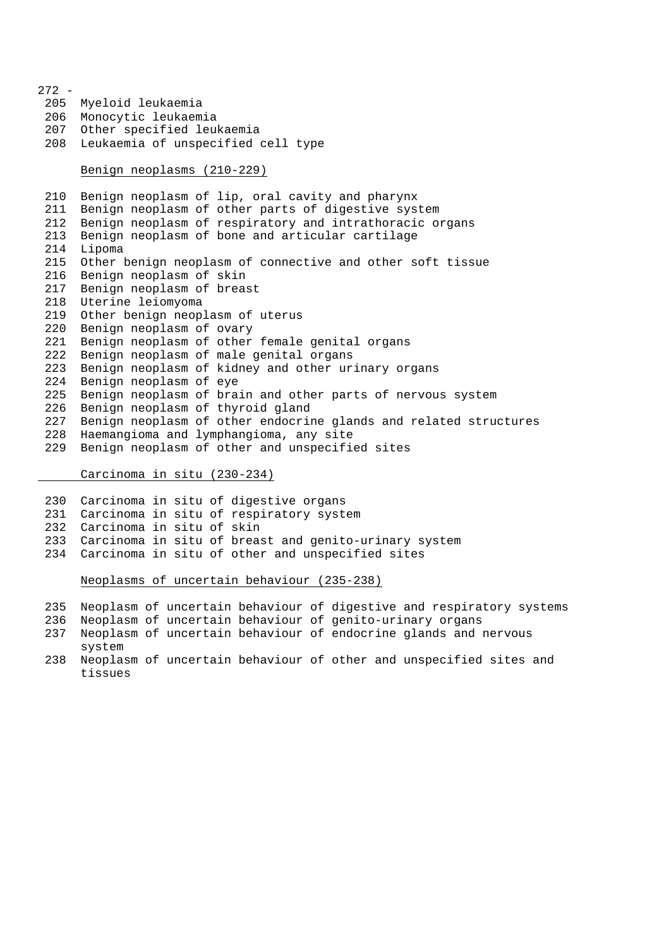- Myeloid leukaemia Monocytic leukaemia Other specified leukaemia Leukaemia of unspecified cell type Benign neoplasms (210-229) Benign neoplasm of lip, oral cavity and pharynx Benign neoplasm of other parts of digestive system Benign neoplasm of respiratory and intrathoracic organs Benign neoplasm of bone and articular cartilage Lipoma Other benign neoplasm of connective and other soft tissue Benign neoplasm of skin Benign neoplasm of breast Uterine leiomyoma Other benign neoplasm of uterus Benign neoplasm of ovary Benign neoplasm of other female genital organs Benign neoplasm of male genital organs Benign neoplasm of kidney and other urinary organs Benign neoplasm of eye Benign neoplasm of brain and other parts of nervous system Benign neoplasm of thyroid gland Benign neoplasm of other endocrine glands and related structures Haemangioma and lymphangioma, any site Benign neoplasm of other and unspecified sites

Carcinoma in situ (230-234)

 Carcinoma in situ of digestive organs Carcinoma in situ of respiratory system Carcinoma in situ of skin Carcinoma in situ of breast and genito-urinary system Carcinoma in situ of other and unspecified sites

Neoplasms of uncertain behaviour (235-238)

Neoplasm of uncertain behaviour of digestive and respiratory systems

- Neoplasm of uncertain behaviour of genito-urinary organs
- Neoplasm of uncertain behaviour of endocrine glands and nervous system
- Neoplasm of uncertain behaviour of other and unspecified sites and tissues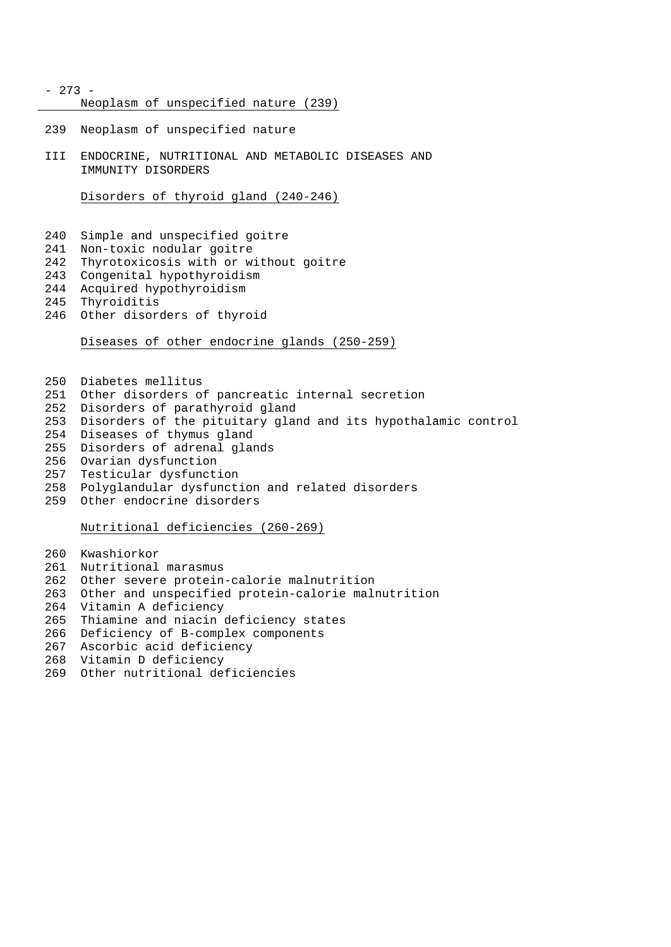- 273 -

Neoplasm of unspecified nature (239)

- Neoplasm of unspecified nature
- III ENDOCRINE, NUTRITIONAL AND METABOLIC DISEASES AND IMMUNITY DISORDERS

Disorders of thyroid gland (240-246)

- Simple and unspecified goitre
- Non-toxic nodular goitre
- Thyrotoxicosis with or without goitre
- Congenital hypothyroidism
- Acquired hypothyroidism
- Thyroiditis
- Other disorders of thyroid

Diseases of other endocrine glands (250-259)

- Diabetes mellitus
- Other disorders of pancreatic internal secretion
- Disorders of parathyroid gland
- Disorders of the pituitary gland and its hypothalamic control
- Diseases of thymus gland
- Disorders of adrenal glands
- Ovarian dysfunction
- Testicular dysfunction
- Polyglandular dysfunction and related disorders
- Other endocrine disorders

Nutritional deficiencies (260-269)

- Kwashiorkor
- Nutritional marasmus
- Other severe protein-calorie malnutrition
- Other and unspecified protein-calorie malnutrition
- Vitamin A deficiency
- Thiamine and niacin deficiency states
- Deficiency of B-complex components
- Ascorbic acid deficiency
- Vitamin D deficiency
- Other nutritional deficiencies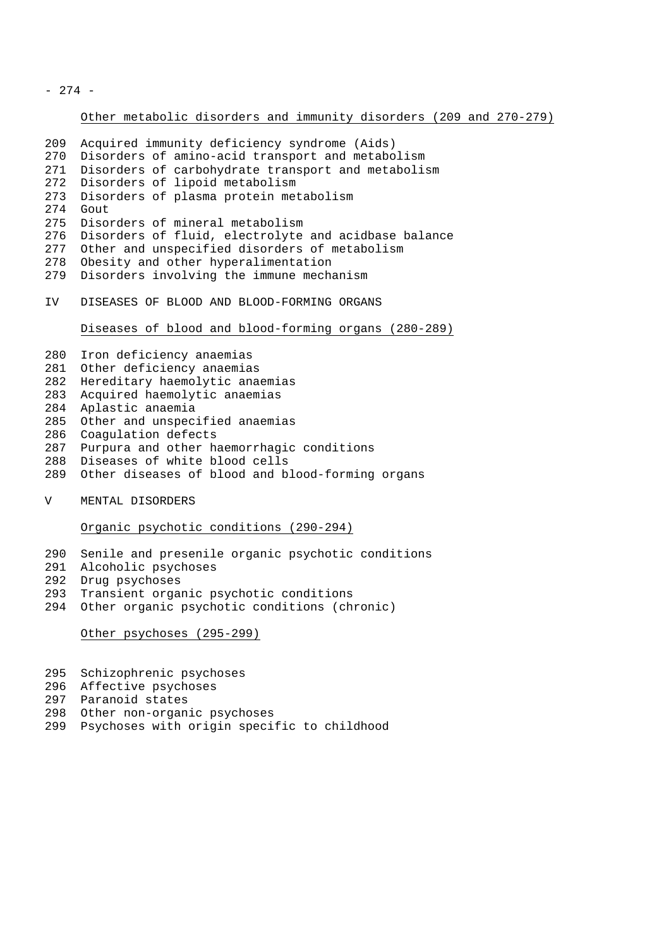- 274 -

Other metabolic disorders and immunity disorders (209 and 270-279)

```
209 Acquired immunity deficiency syndrome (Aids)
270 Disorders of amino-acid transport and metabolism
271 Disorders of carbohydrate transport and metabolism
272 Disorders of lipoid metabolism
273 Disorders of plasma protein metabolism<br>274 Gout
    Gout
275 Disorders of mineral metabolism
276 Disorders of fluid, electrolyte and acidbase balance
277 Other and unspecified disorders of metabolism
278 Obesity and other hyperalimentation
279 Disorders involving the immune mechanism
IV DISEASES OF BLOOD AND BLOOD-FORMING ORGANS
     Diseases of blood and blood-forming organs (280-289)
280 Iron deficiency anaemias
281 Other deficiency anaemias
282 Hereditary haemolytic anaemias
283 Acquired haemolytic anaemias
284 Aplastic anaemia
285 Other and unspecified anaemias
286 Coagulation defects
287 Purpura and other haemorrhagic conditions
288 Diseases of white blood cells
289 Other diseases of blood and blood-forming organs
V MENTAL DISORDERS
```
Organic psychotic conditions (290-294)

- Senile and presenile organic psychotic conditions
- Alcoholic psychoses
- Drug psychoses
- Transient organic psychotic conditions
- Other organic psychotic conditions (chronic)

Other psychoses (295-299)

- Schizophrenic psychoses
- Affective psychoses
- Paranoid states
- Other non-organic psychoses
- Psychoses with origin specific to childhood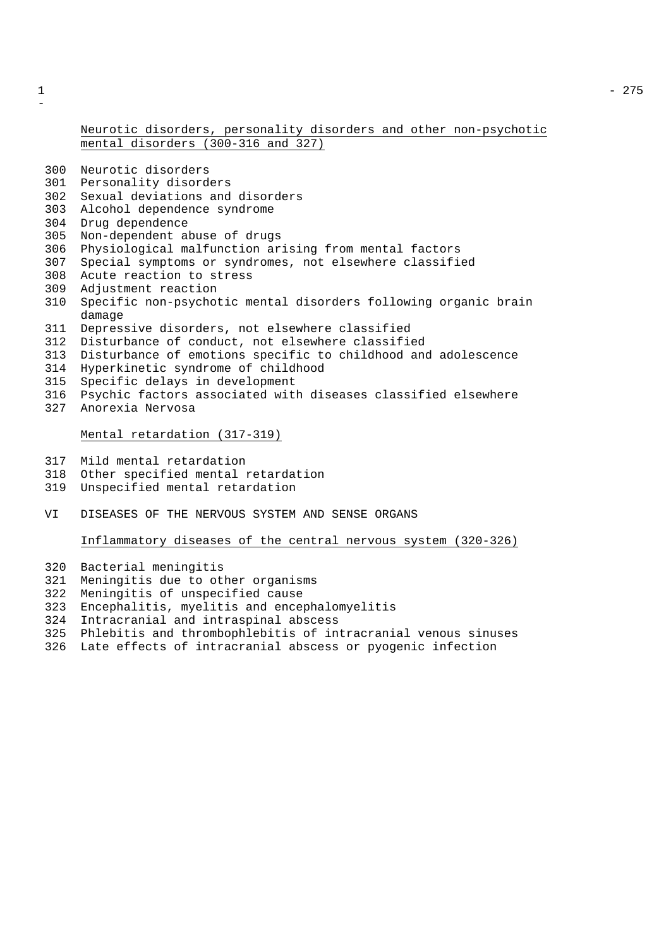# Neurotic disorders, personality disorders and other non-psychotic mental disorders (300-316 and 327)

- Neurotic disorders
- Personality disorders
- Sexual deviations and disorders
- Alcohol dependence syndrome
- Drug dependence
- Non-dependent abuse of drugs
- Physiological malfunction arising from mental factors
- Special symptoms or syndromes, not elsewhere classified
- Acute reaction to stress
- Adjustment reaction
- Specific non-psychotic mental disorders following organic brain damage
- Depressive disorders, not elsewhere classified
- Disturbance of conduct, not elsewhere classified
- Disturbance of emotions specific to childhood and adolescence
- Hyperkinetic syndrome of childhood
- Specific delays in development
- Psychic factors associated with diseases classified elsewhere
- Anorexia Nervosa

## Mental retardation (317-319)

- Mild mental retardation
- Other specified mental retardation
- Unspecified mental retardation
- VI DISEASES OF THE NERVOUS SYSTEM AND SENSE ORGANS

# Inflammatory diseases of the central nervous system (320-326)

- Bacterial meningitis
- Meningitis due to other organisms
- Meningitis of unspecified cause
- Encephalitis, myelitis and encephalomyelitis
- Intracranial and intraspinal abscess
- Phlebitis and thrombophlebitis of intracranial venous sinuses
- Late effects of intracranial abscess or pyogenic infection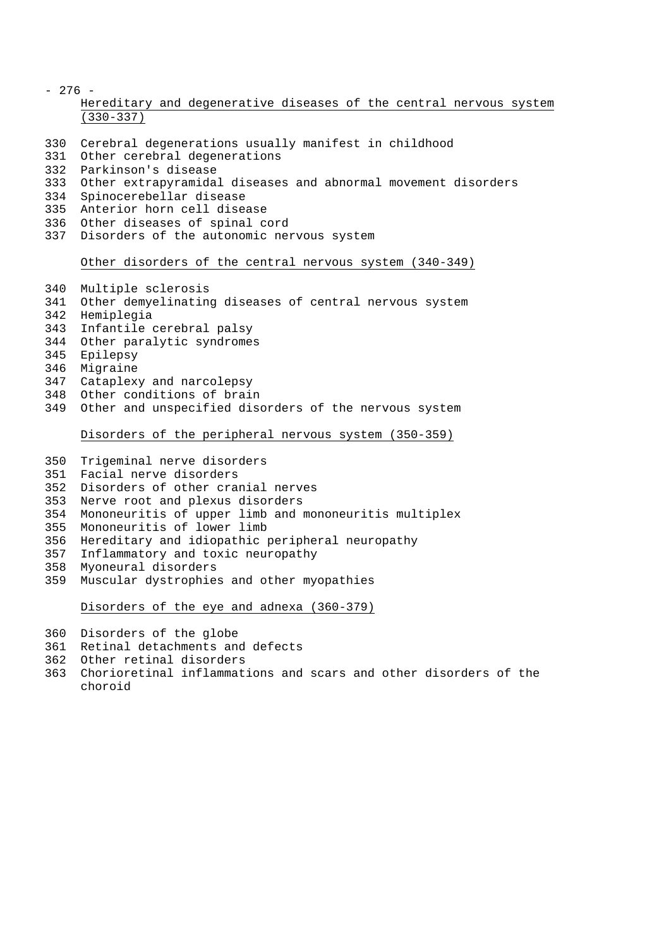- 276 Hereditary and degenerative diseases of the central nervous system (330-337)
- Cerebral degenerations usually manifest in childhood
- Other cerebral degenerations
- Parkinson's disease
- Other extrapyramidal diseases and abnormal movement disorders
- Spinocerebellar disease
- Anterior horn cell disease
- Other diseases of spinal cord
- Disorders of the autonomic nervous system

# Other disorders of the central nervous system (340-349)

- Multiple sclerosis
- Other demyelinating diseases of central nervous system
- Hemiplegia
- Infantile cerebral palsy
- Other paralytic syndromes
- Epilepsy
- Migraine
- Cataplexy and narcolepsy
- Other conditions of brain
- Other and unspecified disorders of the nervous system

## Disorders of the peripheral nervous system (350-359)

- Trigeminal nerve disorders
- Facial nerve disorders
- Disorders of other cranial nerves
- Nerve root and plexus disorders
- Mononeuritis of upper limb and mononeuritis multiplex
- Mononeuritis of lower limb
- Hereditary and idiopathic peripheral neuropathy
- Inflammatory and toxic neuropathy
- Myoneural disorders
- Muscular dystrophies and other myopathies

Disorders of the eye and adnexa (360-379)

- Disorders of the globe
- Retinal detachments and defects
- Other retinal disorders
- Chorioretinal inflammations and scars and other disorders of the choroid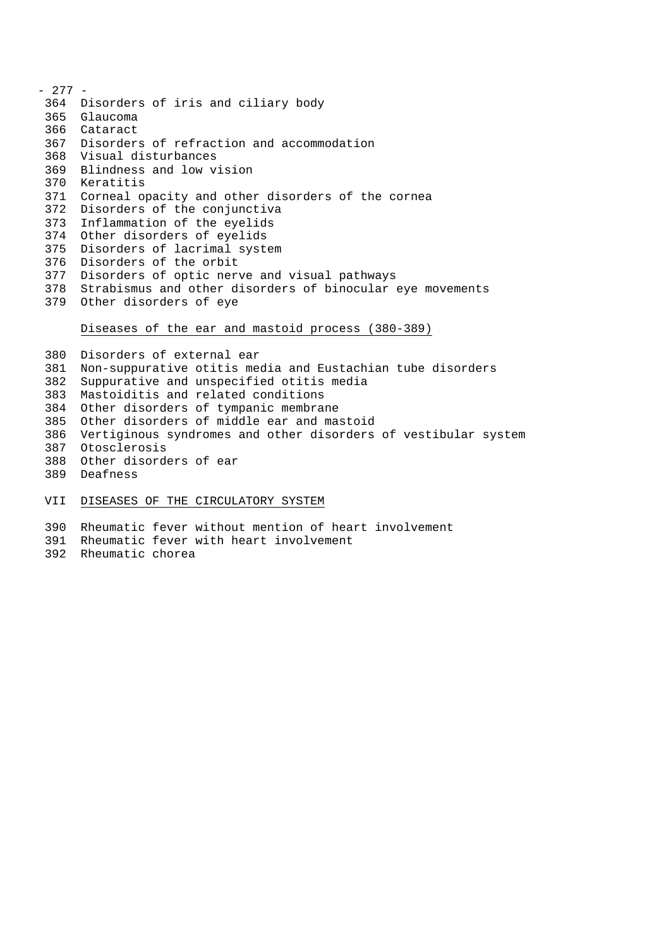- 277 - Disorders of iris and ciliary body Glaucoma Cataract Disorders of refraction and accommodation Visual disturbances Blindness and low vision Keratitis Corneal opacity and other disorders of the cornea Disorders of the conjunctiva Inflammation of the eyelids Other disorders of eyelids Disorders of lacrimal system Disorders of the orbit Disorders of optic nerve and visual pathways Strabismus and other disorders of binocular eye movements Other disorders of eye Diseases of the ear and mastoid process (380-389)

 Disorders of external ear Non-suppurative otitis media and Eustachian tube disorders Suppurative and unspecified otitis media Mastoiditis and related conditions Other disorders of tympanic membrane Other disorders of middle ear and mastoid Vertiginous syndromes and other disorders of vestibular system Otosclerosis Other disorders of ear Deafness VII DISEASES OF THE CIRCULATORY SYSTEM

Rheumatic fever without mention of heart involvement

- Rheumatic fever with heart involvement
- Rheumatic chorea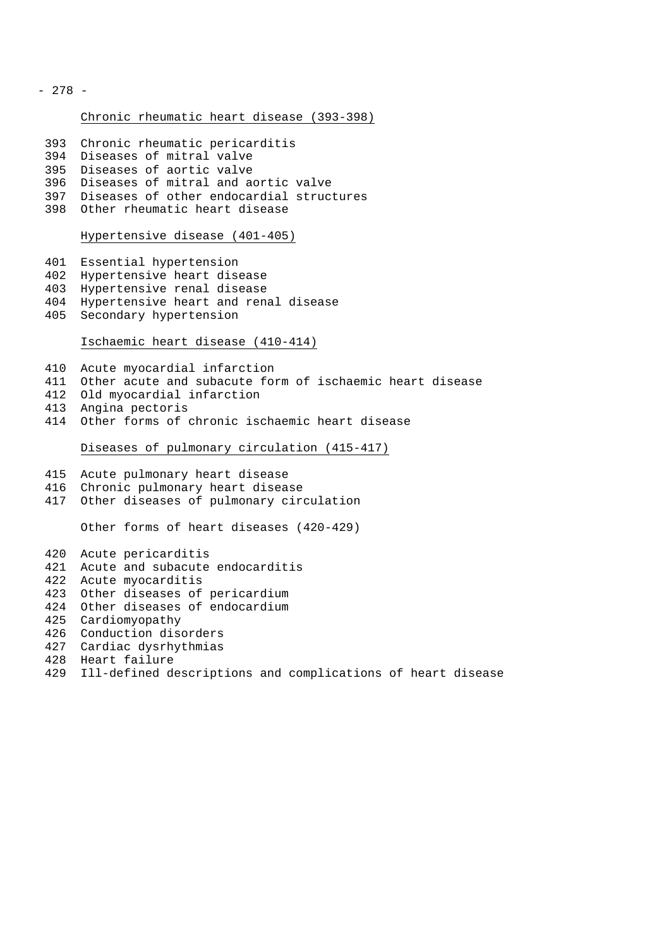- 278 -

## Chronic rheumatic heart disease (393-398)

- Chronic rheumatic pericarditis
- Diseases of mitral valve
- Diseases of aortic valve
- Diseases of mitral and aortic valve
- Diseases of other endocardial structures
- Other rheumatic heart disease

#### Hypertensive disease (401-405)

- Essential hypertension
- Hypertensive heart disease
- Hypertensive renal disease
- Hypertensive heart and renal disease
- Secondary hypertension

# Ischaemic heart disease (410-414)

- Acute myocardial infarction
- Other acute and subacute form of ischaemic heart disease
- Old myocardial infarction
- Angina pectoris
- Other forms of chronic ischaemic heart disease

## Diseases of pulmonary circulation (415-417)

- Acute pulmonary heart disease
- Chronic pulmonary heart disease
- Other diseases of pulmonary circulation

Other forms of heart diseases (420-429)

Acute pericarditis

- Acute and subacute endocarditis
- Acute myocarditis
- Other diseases of pericardium
- Other diseases of endocardium
- Cardiomyopathy
- Conduction disorders
- Cardiac dysrhythmias
- Heart failure
- Ill-defined descriptions and complications of heart disease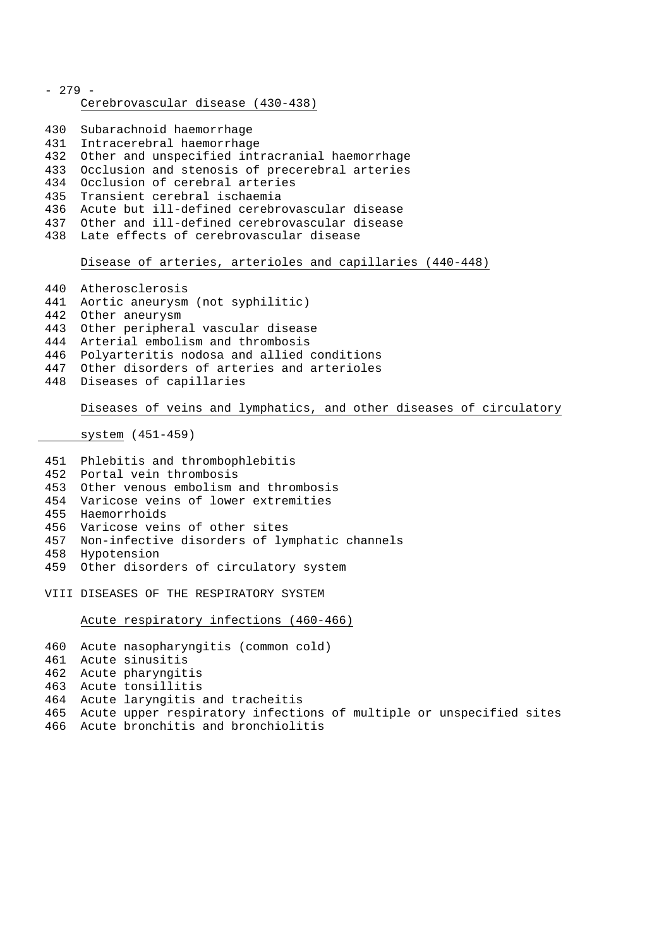- 279 - Cerebrovascular disease (430-438) Subarachnoid haemorrhage Intracerebral haemorrhage Other and unspecified intracranial haemorrhage Occlusion and stenosis of precerebral arteries Occlusion of cerebral arteries Transient cerebral ischaemia Acute but ill-defined cerebrovascular disease Other and ill-defined cerebrovascular disease Late effects of cerebrovascular disease Disease of arteries, arterioles and capillaries (440-448) Atherosclerosis Aortic aneurysm (not syphilitic) Other aneurysm Other peripheral vascular disease Arterial embolism and thrombosis Polyarteritis nodosa and allied conditions Other disorders of arteries and arterioles Diseases of capillaries Diseases of veins and lymphatics, and other diseases of circulatory system (451-459) Phlebitis and thrombophlebitis Portal vein thrombosis Other venous embolism and thrombosis Varicose veins of lower extremities Haemorrhoids Varicose veins of other sites Non-infective disorders of lymphatic channels Hypotension Other disorders of circulatory system VIII DISEASES OF THE RESPIRATORY SYSTEM Acute respiratory infections (460-466) Acute nasopharyngitis (common cold) Acute sinusitis Acute pharyngitis Acute tonsillitis

- Acute laryngitis and tracheitis
- Acute upper respiratory infections of multiple or unspecified sites
- Acute bronchitis and bronchiolitis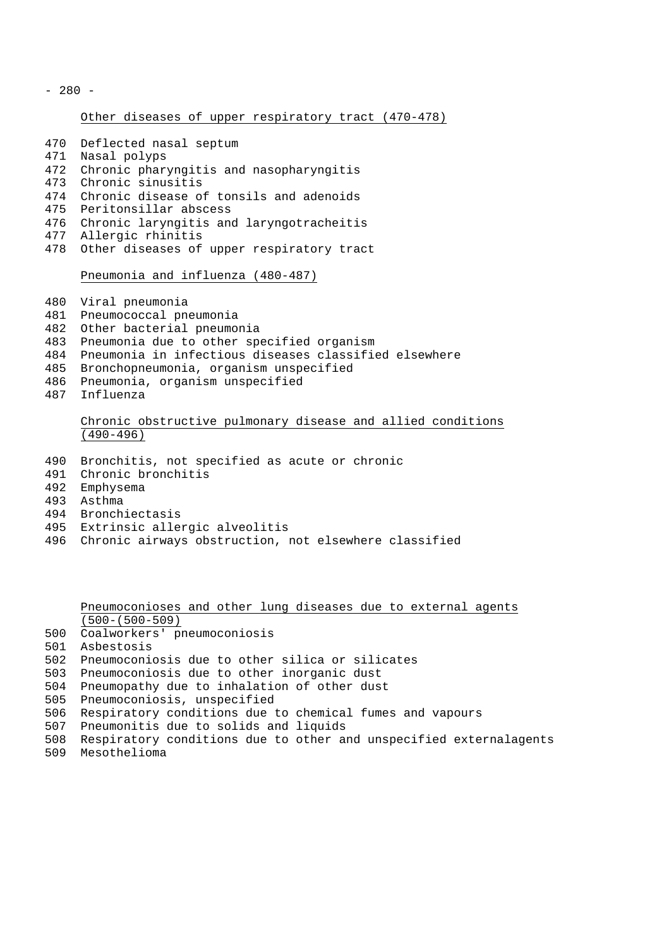$-280 -$ 

## Other diseases of upper respiratory tract (470-478)

- Deflected nasal septum Nasal polyps Chronic pharyngitis and nasopharyngitis Chronic sinusitis Chronic disease of tonsils and adenoids Peritonsillar abscess Chronic laryngitis and laryngotracheitis Allergic rhinitis Other diseases of upper respiratory tract Pneumonia and influenza (480-487) Viral pneumonia
- Pneumococcal pneumonia
- Other bacterial pneumonia
- Pneumonia due to other specified organism
- Pneumonia in infectious diseases classified elsewhere
- Bronchopneumonia, organism unspecified
- Pneumonia, organism unspecified
- Influenza

# Chronic obstructive pulmonary disease and allied conditions  $(490-496)$

- Bronchitis, not specified as acute or chronic
- Chronic bronchitis
- Emphysema
- Asthma
- Bronchiectasis
- Extrinsic allergic alveolitis
- Chronic airways obstruction, not elsewhere classified

Pneumoconioses and other lung diseases due to external agents (500-(500-509)

- Coalworkers' pneumoconiosis
- Asbestosis
- Pneumoconiosis due to other silica or silicates
- Pneumoconiosis due to other inorganic dust
- Pneumopathy due to inhalation of other dust
- Pneumoconiosis, unspecified
- Respiratory conditions due to chemical fumes and vapours
- Pneumonitis due to solids and liquids
- Respiratory conditions due to other and unspecified externalagents
- Mesothelioma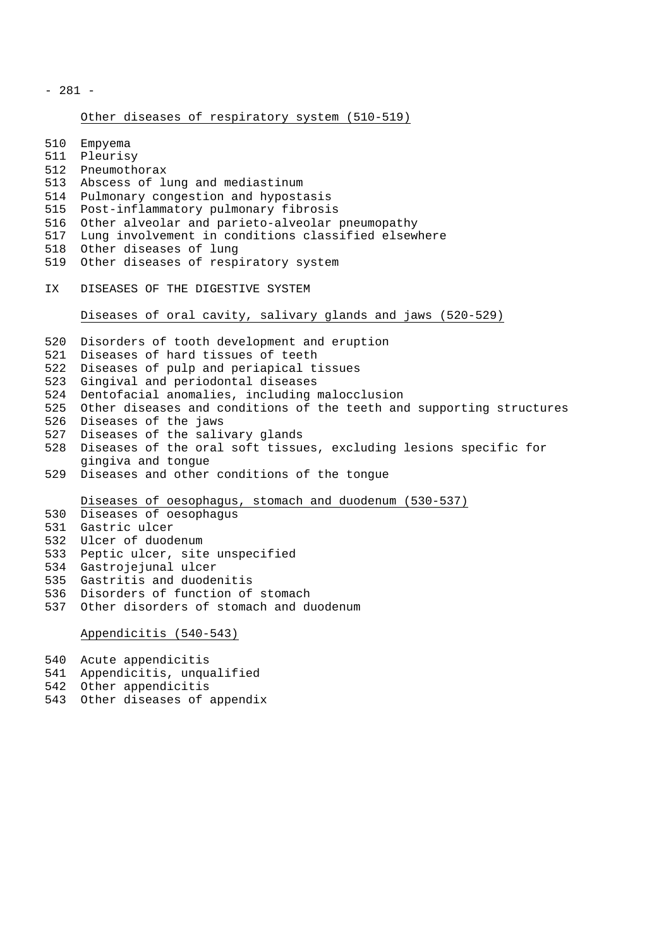- 281 -

# Other diseases of respiratory system (510-519)

 Empyema Pleurisy Pneumothorax Abscess of lung and mediastinum Pulmonary congestion and hypostasis Post-inflammatory pulmonary fibrosis Other alveolar and parieto-alveolar pneumopathy Lung involvement in conditions classified elsewhere Other diseases of lung Other diseases of respiratory system IX DISEASES OF THE DIGESTIVE SYSTEM Diseases of oral cavity, salivary glands and jaws (520-529) Disorders of tooth development and eruption Diseases of hard tissues of teeth Diseases of pulp and periapical tissues Gingival and periodontal diseases Dentofacial anomalies, including malocclusion Other diseases and conditions of the teeth and supporting structures Diseases of the jaws Diseases of the salivary glands Diseases of the oral soft tissues, excluding lesions specific for gingiva and tongue Diseases and other conditions of the tongue Diseases of oesophagus, stomach and duodenum (530-537) Diseases of oesophagus Gastric ulcer Ulcer of duodenum Peptic ulcer, site unspecified Gastrojejunal ulcer Gastritis and duodenitis Disorders of function of stomach Other disorders of stomach and duodenum Appendicitis (540-543) Acute appendicitis

Appendicitis, unqualified

- Other appendicitis
- Other diseases of appendix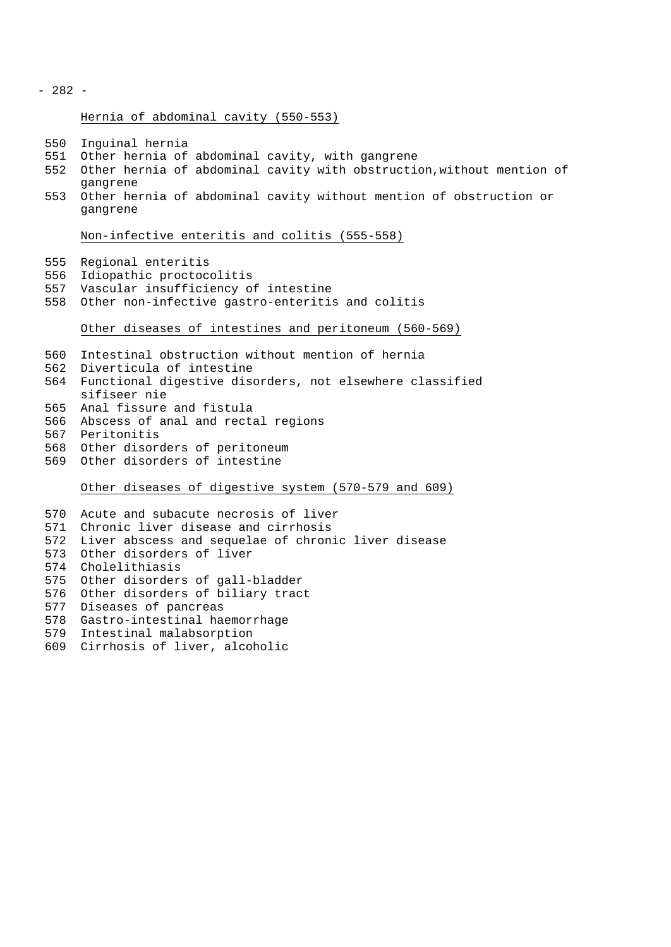- 282 -

Hernia of abdominal cavity (550-553)

- Inguinal hernia
- Other hernia of abdominal cavity, with gangrene
- Other hernia of abdominal cavity with obstruction,without mention of gangrene
- Other hernia of abdominal cavity without mention of obstruction or gangrene

Non-infective enteritis and colitis (555-558)

- Regional enteritis
- Idiopathic proctocolitis
- Vascular insufficiency of intestine
- Other non-infective gastro-enteritis and colitis

Other diseases of intestines and peritoneum (560-569)

- Intestinal obstruction without mention of hernia
- Diverticula of intestine
- Functional digestive disorders, not elsewhere classified sifiseer nie
- Anal fissure and fistula
- Abscess of anal and rectal regions
- Peritonitis
- Other disorders of peritoneum
- Other disorders of intestine

Other diseases of digestive system (570-579 and 609)

- Acute and subacute necrosis of liver Chronic liver disease and cirrhosis Liver abscess and sequelae of chronic liver disease Other disorders of liver Cholelithiasis Other disorders of gall-bladder Other disorders of biliary tract Diseases of pancreas Gastro-intestinal haemorrhage Intestinal malabsorption
- Cirrhosis of liver, alcoholic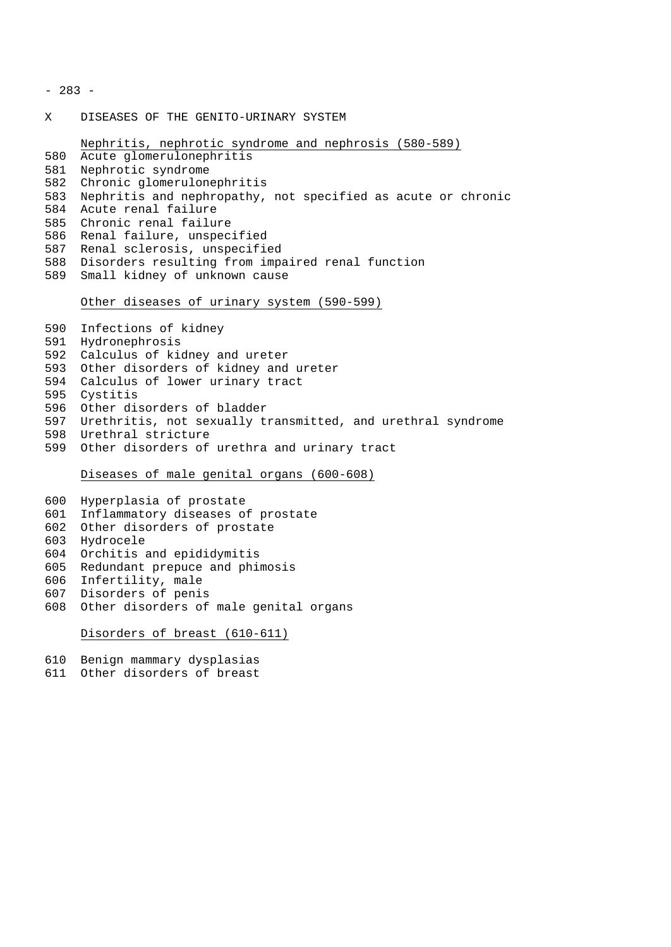- 283 -

X DISEASES OF THE GENITO-URINARY SYSTEM

```
Nephritis, nephrotic syndrome and nephrosis (580-589)
580 Acute glomerulonephritis
581 Nephrotic syndrome
582 Chronic glomerulonephritis
583 Nephritis and nephropathy, not specified as acute or chronic
584 Acute renal failure
585 Chronic renal failure
586 Renal failure, unspecified
587 Renal sclerosis, unspecified
588 Disorders resulting from impaired renal function
589 Small kidney of unknown cause
```
#### Other diseases of urinary system (590-599)

 Infections of kidney Hydronephrosis Calculus of kidney and ureter Other disorders of kidney and ureter Calculus of lower urinary tract Cystitis Other disorders of bladder Urethritis, not sexually transmitted, and urethral syndrome Urethral stricture Other disorders of urethra and urinary tract

Diseases of male genital organs (600-608)

 Hyperplasia of prostate Inflammatory diseases of prostate Other disorders of prostate Hydrocele Orchitis and epididymitis Redundant prepuce and phimosis Infertility, male Disorders of penis

Other disorders of male genital organs

Disorders of breast (610-611)

```
610 Benign mammary dysplasias
```
Other disorders of breast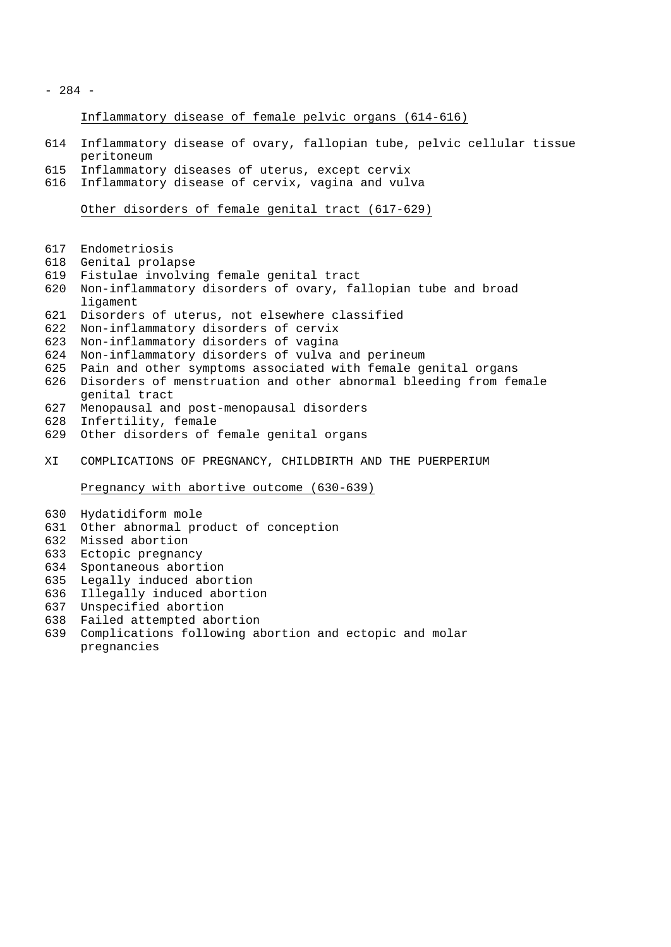- 284 -

Inflammatory disease of female pelvic organs (614-616)

- Inflammatory disease of ovary, fallopian tube, pelvic cellular tissue peritoneum
- Inflammatory diseases of uterus, except cervix
- Inflammatory disease of cervix, vagina and vulva

Other disorders of female genital tract (617-629)

- Endometriosis
- Genital prolapse
- Fistulae involving female genital tract
- Non-inflammatory disorders of ovary, fallopian tube and broad ligament
- Disorders of uterus, not elsewhere classified
- Non-inflammatory disorders of cervix
- Non-inflammatory disorders of vagina
- Non-inflammatory disorders of vulva and perineum
- Pain and other symptoms associated with female genital organs
- Disorders of menstruation and other abnormal bleeding from female genital tract
- Menopausal and post-menopausal disorders
- Infertility, female
- Other disorders of female genital organs
- XI COMPLICATIONS OF PREGNANCY, CHILDBIRTH AND THE PUERPERIUM

Pregnancy with abortive outcome (630-639)

- Hydatidiform mole
- Other abnormal product of conception
- Missed abortion
- Ectopic pregnancy
- Spontaneous abortion
- Legally induced abortion
- Illegally induced abortion
- Unspecified abortion
- Failed attempted abortion
- Complications following abortion and ectopic and molar pregnancies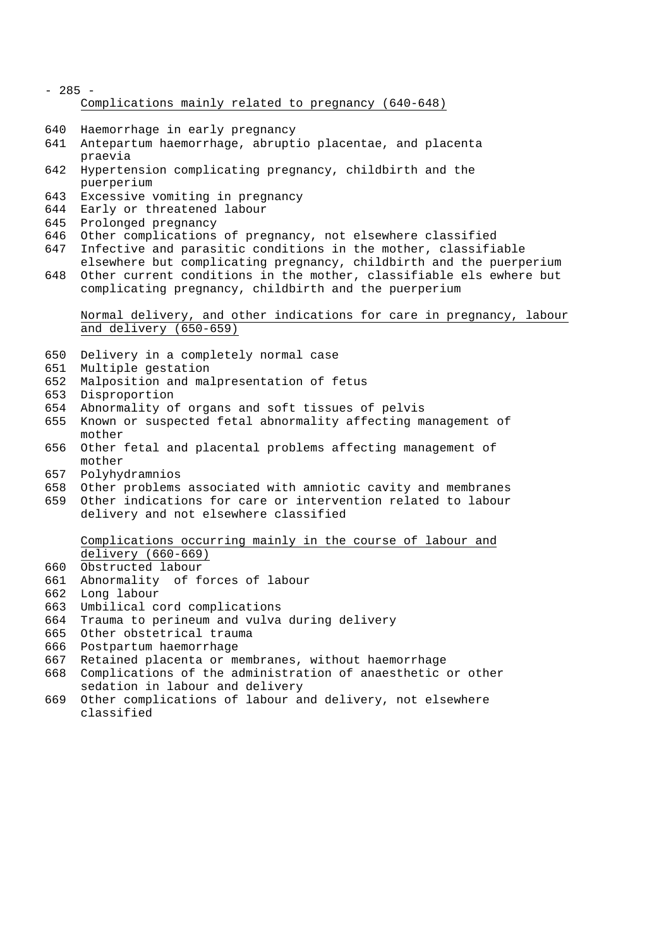- 285 Complications mainly related to pregnancy (640-648)
- Haemorrhage in early pregnancy
- Antepartum haemorrhage, abruptio placentae, and placenta praevia
- Hypertension complicating pregnancy, childbirth and the puerperium
- Excessive vomiting in pregnancy
- Early or threatened labour
- Prolonged pregnancy
- Other complications of pregnancy, not elsewhere classified
- Infective and parasitic conditions in the mother, classifiable
- elsewhere but complicating pregnancy, childbirth and the puerperium Other current conditions in the mother, classifiable els ewhere but complicating pregnancy, childbirth and the puerperium

## Normal delivery, and other indications for care in pregnancy, labour and delivery (650-659)

- Delivery in a completely normal case
- Multiple gestation
- Malposition and malpresentation of fetus
- Disproportion
- Abnormality of organs and soft tissues of pelvis
- Known or suspected fetal abnormality affecting management of mother
- Other fetal and placental problems affecting management of mother
- Polyhydramnios
- Other problems associated with amniotic cavity and membranes
- Other indications for care or intervention related to labour delivery and not elsewhere classified

# Complications occurring mainly in the course of labour and delivery (660-669)

- Obstructed labour
- Abnormality of forces of labour
- Long labour
- Umbilical cord complications
- Trauma to perineum and vulva during delivery
- Other obstetrical trauma
- Postpartum haemorrhage
- Retained placenta or membranes, without haemorrhage
- Complications of the administration of anaesthetic or other sedation in labour and delivery
- Other complications of labour and delivery, not elsewhere classified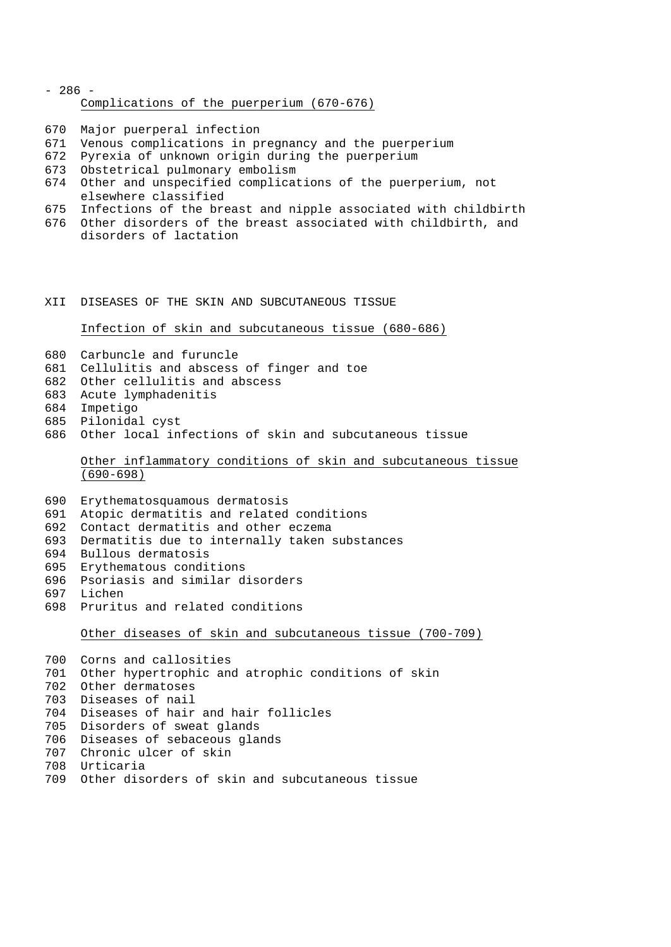- 286 - Complications of the puerperium (670-676)

Major puerperal infection

- Venous complications in pregnancy and the puerperium
- Pyrexia of unknown origin during the puerperium
- Obstetrical pulmonary embolism
- Other and unspecified complications of the puerperium, not elsewhere classified
- Infections of the breast and nipple associated with childbirth
- Other disorders of the breast associated with childbirth, and disorders of lactation

#### XII DISEASES OF THE SKIN AND SUBCUTANEOUS TISSUE

Infection of skin and subcutaneous tissue (680-686)

- Carbuncle and furuncle
- Cellulitis and abscess of finger and toe
- Other cellulitis and abscess
- Acute lymphadenitis
- Impetigo
- Pilonidal cyst
- Other local infections of skin and subcutaneous tissue

# Other inflammatory conditions of skin and subcutaneous tissue (690-698)

- Erythematosquamous dermatosis
- Atopic dermatitis and related conditions
- Contact dermatitis and other eczema
- Dermatitis due to internally taken substances
- Bullous dermatosis
- Erythematous conditions
- Psoriasis and similar disorders
- Lichen
- Pruritus and related conditions

Other diseases of skin and subcutaneous tissue (700-709)

 Corns and callosities Other hypertrophic and atrophic conditions of skin Other dermatoses Diseases of nail Diseases of hair and hair follicles Disorders of sweat glands Diseases of sebaceous glands Chronic ulcer of skin Urticaria

Other disorders of skin and subcutaneous tissue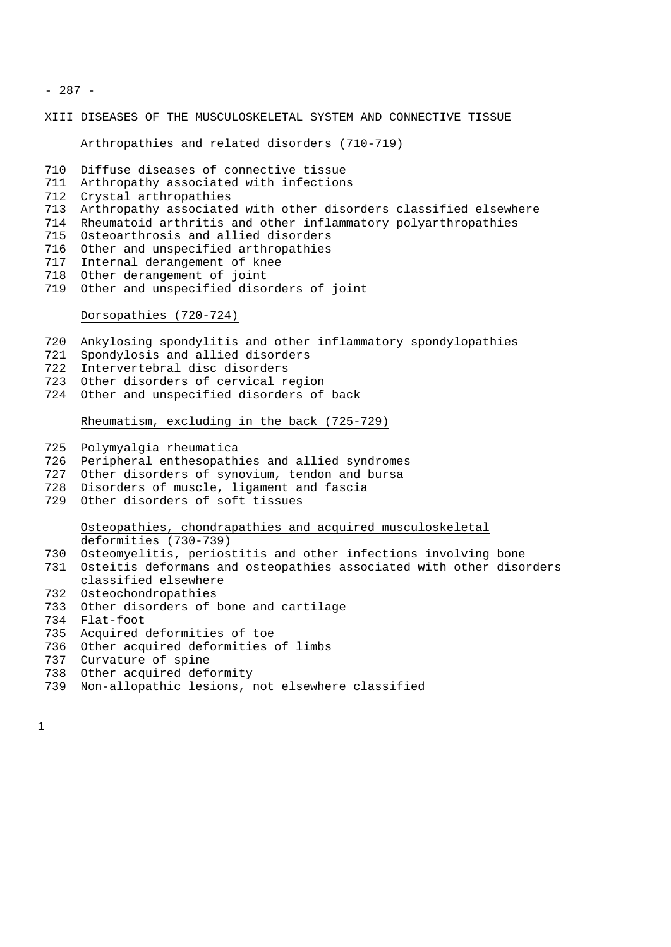- 287 -

XIII DISEASES OF THE MUSCULOSKELETAL SYSTEM AND CONNECTIVE TISSUE

## Arthropathies and related disorders (710-719)

- Diffuse diseases of connective tissue
- Arthropathy associated with infections
- Crystal arthropathies
- Arthropathy associated with other disorders classified elsewhere
- Rheumatoid arthritis and other inflammatory polyarthropathies
- Osteoarthrosis and allied disorders
- Other and unspecified arthropathies
- Internal derangement of knee
- Other derangement of joint
- Other and unspecified disorders of joint

## Dorsopathies (720-724)

- Ankylosing spondylitis and other inflammatory spondylopathies
- Spondylosis and allied disorders
- Intervertebral disc disorders
- Other disorders of cervical region
- Other and unspecified disorders of back

Rheumatism, excluding in the back (725-729)

- Polymyalgia rheumatica
- Peripheral enthesopathies and allied syndromes
- Other disorders of synovium, tendon and bursa
- Disorders of muscle, ligament and fascia
- Other disorders of soft tissues

# Osteopathies, chondrapathies and acquired musculoskeletal deformities (730-739)

- Osteomyelitis, periostitis and other infections involving bone
- Osteitis deformans and osteopathies associated with other disorders classified elsewhere
- Osteochondropathies
- Other disorders of bone and cartilage
- Flat-foot
- Acquired deformities of toe
- Other acquired deformities of limbs
- Curvature of spine
- Other acquired deformity
- Non-allopathic lesions, not elsewhere classified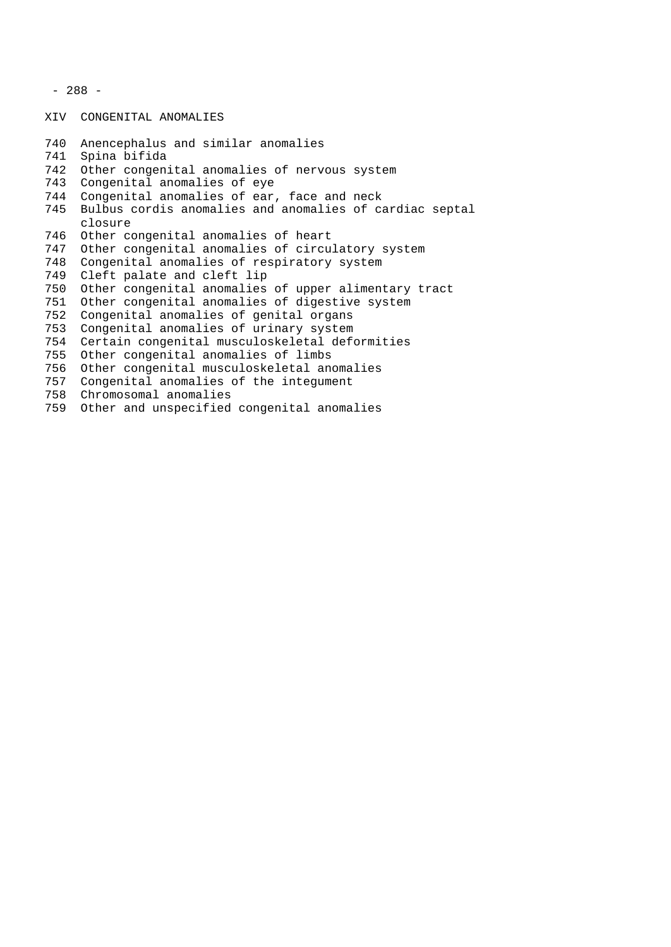```
- 288 -
```
XIV CONGENITAL ANOMALIES

```
740 Anencephalus and similar anomalies
741 Spina bifida
742 Other congenital anomalies of nervous system
743 Congenital anomalies of eye
744 Congenital anomalies of ear, face and neck
745 Bulbus cordis anomalies and anomalies of cardiac septal
    closure
746 Other congenital anomalies of heart
747 Other congenital anomalies of circulatory system
748 Congenital anomalies of respiratory system
749 Cleft palate and cleft lip
750 Other congenital anomalies of upper alimentary tract
751 Other congenital anomalies of digestive system
752 Congenital anomalies of genital organs
753 Congenital anomalies of urinary system
754 Certain congenital musculoskeletal deformities
755 Other congenital anomalies of limbs
756 Other congenital musculoskeletal anomalies
757 Congenital anomalies of the integument
758 Chromosomal anomalies
759 Other and unspecified congenital anomalies
```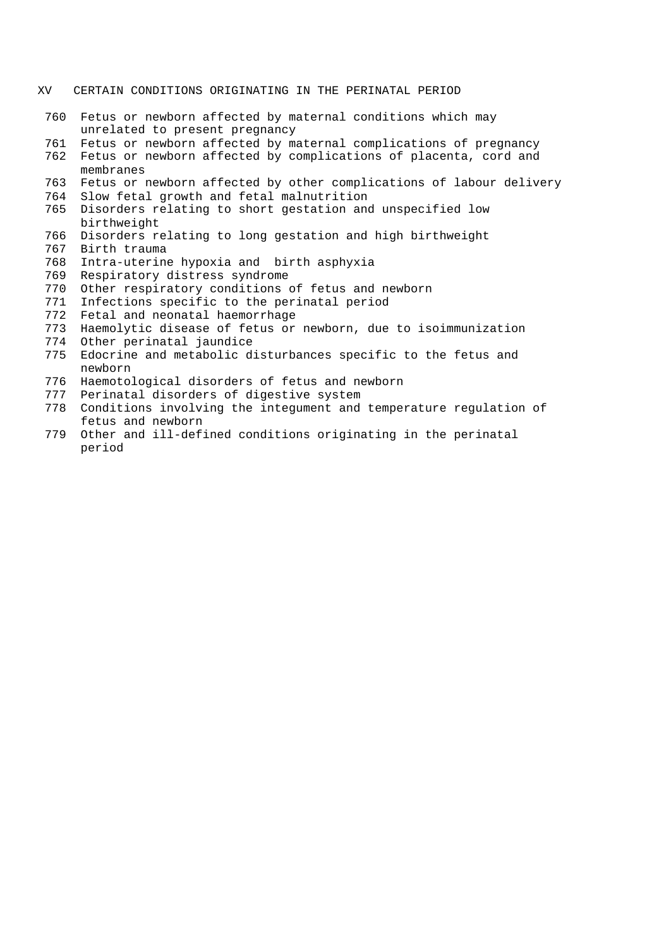- XV CERTAIN CONDITIONS ORIGINATING IN THE PERINATAL PERIOD
	- Fetus or newborn affected by maternal conditions which may unrelated to present pregnancy
	- Fetus or newborn affected by maternal complications of pregnancy
	- Fetus or newborn affected by complications of placenta, cord and membranes
	- Fetus or newborn affected by other complications of labour delivery
	- Slow fetal growth and fetal malnutrition
	- Disorders relating to short gestation and unspecified low birthweight
	- Disorders relating to long gestation and high birthweight
	- Birth trauma
	- Intra-uterine hypoxia and birth asphyxia
	- Respiratory distress syndrome
	- Other respiratory conditions of fetus and newborn
	- Infections specific to the perinatal period
	- Fetal and neonatal haemorrhage
	- Haemolytic disease of fetus or newborn, due to isoimmunization
	- Other perinatal jaundice
	- Edocrine and metabolic disturbances specific to the fetus and newborn
	- Haemotological disorders of fetus and newborn
	- Perinatal disorders of digestive system
	- Conditions involving the integument and temperature regulation of fetus and newborn
	- Other and ill-defined conditions originating in the perinatal period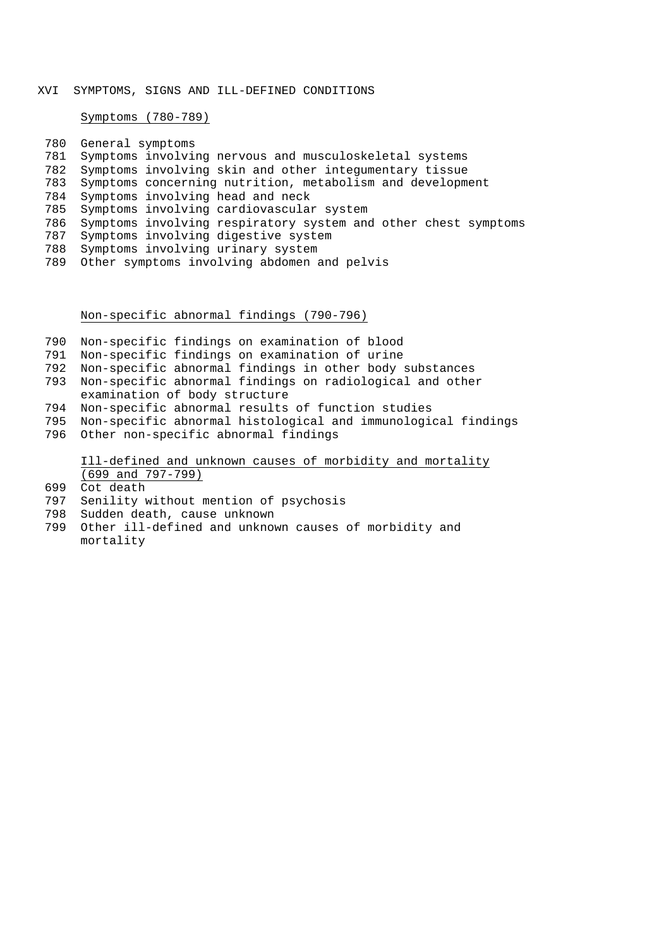## XVI SYMPTOMS, SIGNS AND ILL-DEFINED CONDITIONS

Symptoms (780-789)

| 780 | General symptoms                                               |
|-----|----------------------------------------------------------------|
| 781 | Symptoms involving nervous and musculoskeletal systems         |
| 782 | Symptoms involving skin and other integumentary tissue         |
| 783 | Symptoms concerning nutrition, metabolism and development      |
| 784 | Symptoms involving head and neck                               |
| 785 | Symptoms involving cardiovascular system                       |
| 786 | Symptoms involving respiratory system and other chest symptoms |
| 787 | Symptoms involving digestive system                            |
| 788 | Symptoms involving urinary system                              |
| 789 | Other symptoms involving abdomen and pelvis                    |
|     |                                                                |

# Non-specific abnormal findings (790-796)

- Non-specific findings on examination of blood
- Non-specific findings on examination of urine
- Non-specific abnormal findings in other body substances
- Non-specific abnormal findings on radiological and other
- examination of body structure
- Non-specific abnormal results of function studies
- Non-specific abnormal histological and immunological findings
- Other non-specific abnormal findings

Ill-defined and unknown causes of morbidity and mortality (699 and 797-799)

- Cot death
- Senility without mention of psychosis
- Sudden death, cause unknown
- Other ill-defined and unknown causes of morbidity and mortality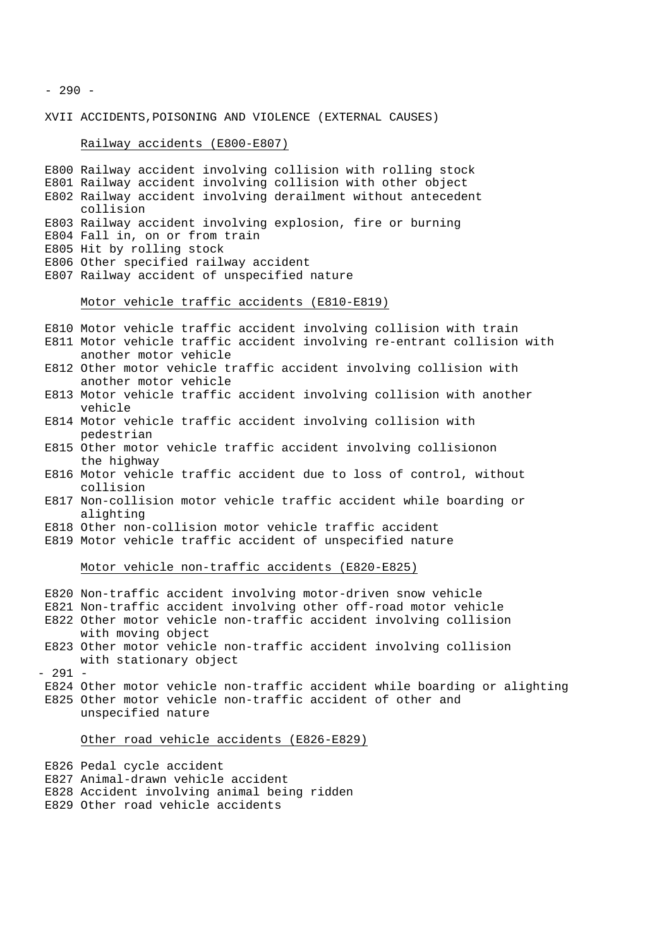$-290 -$ 

XVII ACCIDENTS,POISONING AND VIOLENCE (EXTERNAL CAUSES)

#### Railway accidents (E800-E807)

E800 Railway accident involving collision with rolling stock E801 Railway accident involving collision with other object E802 Railway accident involving derailment without antecedent collision E803 Railway accident involving explosion, fire or burning E804 Fall in, on or from train E805 Hit by rolling stock E806 Other specified railway accident E807 Railway accident of unspecified nature

#### Motor vehicle traffic accidents (E810-E819)

E810 Motor vehicle traffic accident involving collision with train

- E811 Motor vehicle traffic accident involving re-entrant collision with another motor vehicle
- E812 Other motor vehicle traffic accident involving collision with another motor vehicle
- E813 Motor vehicle traffic accident involving collision with another vehicle
- E814 Motor vehicle traffic accident involving collision with pedestrian
- E815 Other motor vehicle traffic accident involving collisionon the highway
- E816 Motor vehicle traffic accident due to loss of control, without collision
- E817 Non-collision motor vehicle traffic accident while boarding or alighting
- E818 Other non-collision motor vehicle traffic accident
- E819 Motor vehicle traffic accident of unspecified nature

## Motor vehicle non-traffic accidents (E820-E825)

#### E820 Non-traffic accident involving motor-driven snow vehicle

- E821 Non-traffic accident involving other off-road motor vehicle
- E822 Other motor vehicle non-traffic accident involving collision with moving object
- E823 Other motor vehicle non-traffic accident involving collision with stationary object

- 291 -

E824 Other motor vehicle non-traffic accident while boarding or alighting E825 Other motor vehicle non-traffic accident of other and unspecified nature

# Other road vehicle accidents (E826-E829)

- E826 Pedal cycle accident
- E827 Animal-drawn vehicle accident
- E828 Accident involving animal being ridden
- E829 Other road vehicle accidents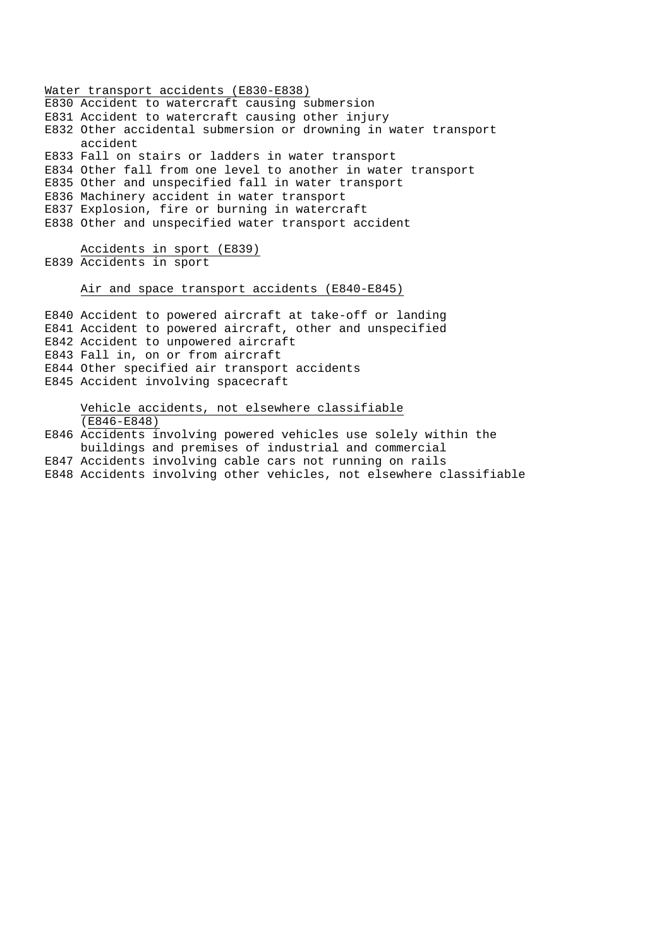Water transport accidents (E830-E838) E830 Accident to watercraft causing submersion E831 Accident to watercraft causing other injury E832 Other accidental submersion or drowning in water transport accident E833 Fall on stairs or ladders in water transport E834 Other fall from one level to another in water transport E835 Other and unspecified fall in water transport E836 Machinery accident in water transport E837 Explosion, fire or burning in watercraft E838 Other and unspecified water transport accident

Accidents in sport (E839) E839 Accidents in sport

## Air and space transport accidents (E840-E845)

E840 Accident to powered aircraft at take-off or landing E841 Accident to powered aircraft, other and unspecified E842 Accident to unpowered aircraft E843 Fall in, on or from aircraft E844 Other specified air transport accidents E845 Accident involving spacecraft

Vehicle accidents, not elsewhere classifiable (E846-E848)

E846 Accidents involving powered vehicles use solely within the buildings and premises of industrial and commercial E847 Accidents involving cable cars not running on rails E848 Accidents involving other vehicles, not elsewhere classifiable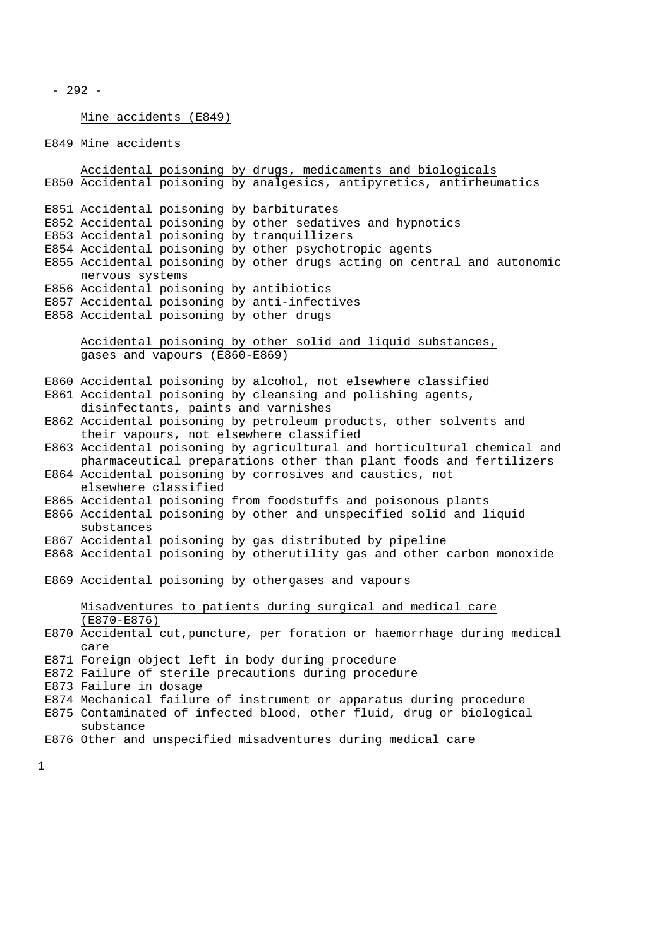```
- 292 -
```
Mine accidents (E849)

E849 Mine accidents

Accidental poisoning by drugs, medicaments and biologicals E850 Accidental poisoning by analgesics, antipyretics, antirheumatics E851 Accidental poisoning by barbiturates E852 Accidental poisoning by other sedatives and hypnotics E853 Accidental poisoning by tranquillizers E854 Accidental poisoning by other psychotropic agents E855 Accidental poisoning by other drugs acting on central and autonomic nervous systems E856 Accidental poisoning by antibiotics E857 Accidental poisoning by anti-infectives E858 Accidental poisoning by other drugs Accidental poisoning by other solid and liquid substances, gases and vapours (E860-E869) E860 Accidental poisoning by alcohol, not elsewhere classified E861 Accidental poisoning by cleansing and polishing agents, disinfectants, paints and varnishes E862 Accidental poisoning by petroleum products, other solvents and their vapours, not elsewhere classified E863 Accidental poisoning by agricultural and horticultural chemical and pharmaceutical preparations other than plant foods and fertilizers E864 Accidental poisoning by corrosives and caustics, not elsewhere classified E865 Accidental poisoning from foodstuffs and poisonous plants E866 Accidental poisoning by other and unspecified solid and liquid substances E867 Accidental poisoning by gas distributed by pipeline E868 Accidental poisoning by otherutility gas and other carbon monoxide E869 Accidental poisoning by othergases and vapours Misadventures to patients during surgical and medical care (E870-E876) E870 Accidental cut,puncture, per foration or haemorrhage during medical care E871 Foreign object left in body during procedure E872 Failure of sterile precautions during procedure E873 Failure in dosage E874 Mechanical failure of instrument or apparatus during procedure E875 Contaminated of infected blood, other fluid, drug or biological substance E876 Other and unspecified misadventures during medical care

1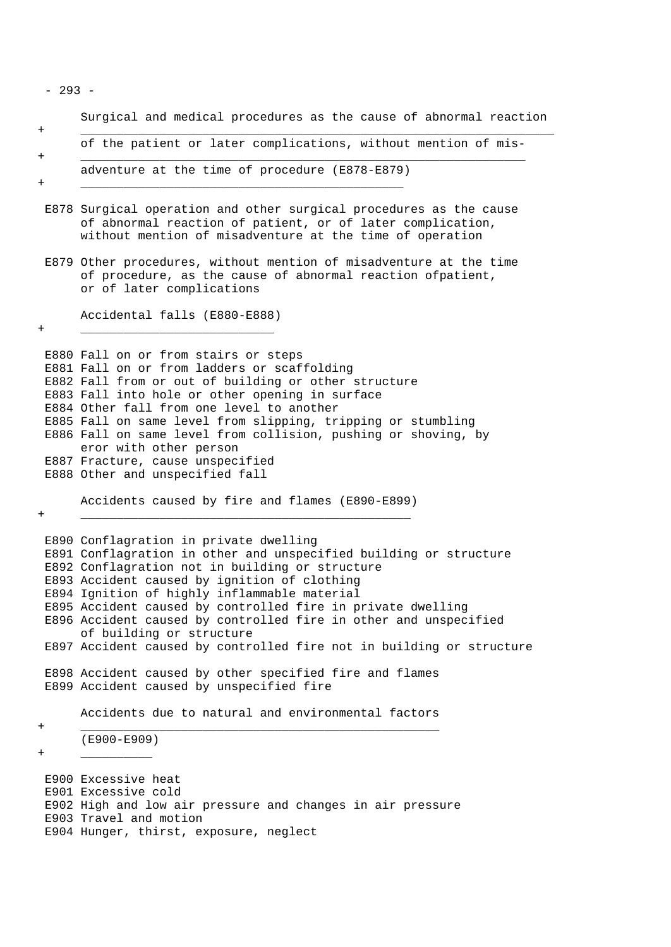- 293 -

Surgical and medical procedures as the cause of abnormal reaction + \_\_\_\_\_\_\_\_\_\_\_\_\_\_\_\_\_\_\_\_\_\_\_\_\_\_\_\_\_\_\_\_\_\_\_\_\_\_\_\_\_\_\_\_\_\_\_\_\_\_\_\_\_\_\_\_\_\_\_\_\_\_\_\_\_\_

of the patient or later complications, without mention of mis- + \_\_\_\_\_\_\_\_\_\_\_\_\_\_\_\_\_\_\_\_\_\_\_\_\_\_\_\_\_\_\_\_\_\_\_\_\_\_\_\_\_\_\_\_\_\_\_\_\_\_\_\_\_\_\_\_\_\_\_\_\_\_

adventure at the time of procedure (E878-E879) + \_\_\_\_\_\_\_\_\_\_\_\_\_\_\_\_\_\_\_\_\_\_\_\_\_\_\_\_\_\_\_\_\_\_\_\_\_\_\_\_\_\_\_\_\_

- E878 Surgical operation and other surgical procedures as the cause of abnormal reaction of patient, or of later complication, without mention of misadventure at the time of operation
- E879 Other procedures, without mention of misadventure at the time of procedure, as the cause of abnormal reaction ofpatient, or of later complications

Accidental falls (E880-E888)

+ \_\_\_\_\_\_\_\_\_\_\_\_\_\_\_\_\_\_\_\_\_\_\_\_\_\_\_

E880 Fall on or from stairs or steps E881 Fall on or from ladders or scaffolding E882 Fall from or out of building or other structure E883 Fall into hole or other opening in surface E884 Other fall from one level to another E885 Fall on same level from slipping, tripping or stumbling E886 Fall on same level from collision, pushing or shoving, by eror with other person E887 Fracture, cause unspecified E888 Other and unspecified fall

Accidents caused by fire and flames (E890-E899)

+ \_\_\_\_\_\_\_\_\_\_\_\_\_\_\_\_\_\_\_\_\_\_\_\_\_\_\_\_\_\_\_\_\_\_\_\_\_\_\_\_\_\_\_\_\_\_

E890 Conflagration in private dwelling E891 Conflagration in other and unspecified building or structure E892 Conflagration not in building or structure E893 Accident caused by ignition of clothing E894 Ignition of highly inflammable material E895 Accident caused by controlled fire in private dwelling E896 Accident caused by controlled fire in other and unspecified of building or structure E897 Accident caused by controlled fire not in building or structure E898 Accident caused by other specified fire and flames E899 Accident caused by unspecified fire

Accidents due to natural and environmental factors

+ \_\_\_\_\_\_\_\_\_\_\_\_\_\_\_\_\_\_\_\_\_\_\_\_\_\_\_\_\_\_\_\_\_\_\_\_\_\_\_\_\_\_\_\_\_\_\_\_\_\_

(E900-E909)

+ \_\_\_\_\_\_\_\_\_\_

E900 Excessive heat E901 Excessive cold E902 High and low air pressure and changes in air pressure E903 Travel and motion E904 Hunger, thirst, exposure, neglect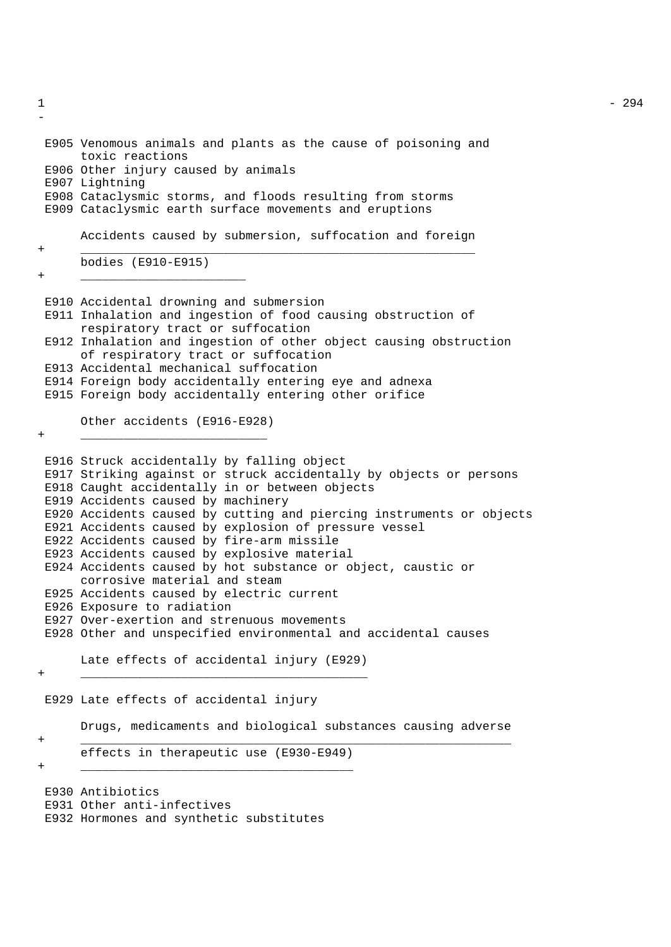- E905 Venomous animals and plants as the cause of poisoning and toxic reactions E906 Other injury caused by animals E907 Lightning E908 Cataclysmic storms, and floods resulting from storms E909 Cataclysmic earth surface movements and eruptions Accidents caused by submersion, suffocation and foreign + \_\_\_\_\_\_\_\_\_\_\_\_\_\_\_\_\_\_\_\_\_\_\_\_\_\_\_\_\_\_\_\_\_\_\_\_\_\_\_\_\_\_\_\_\_\_\_\_\_\_\_\_\_\_\_ bodies (E910-E915) + \_\_\_\_\_\_\_\_\_\_\_\_\_\_\_\_\_\_\_\_\_\_\_ E910 Accidental drowning and submersion E911 Inhalation and ingestion of food causing obstruction of respiratory tract or suffocation E912 Inhalation and ingestion of other object causing obstruction of respiratory tract or suffocation E913 Accidental mechanical suffocation E914 Foreign body accidentally entering eye and adnexa E915 Foreign body accidentally entering other orifice Other accidents (E916-E928) + \_\_\_\_\_\_\_\_\_\_\_\_\_\_\_\_\_\_\_\_\_\_\_\_\_\_ E916 Struck accidentally by falling object E917 Striking against or struck accidentally by objects or persons E918 Caught accidentally in or between objects E919 Accidents caused by machinery E920 Accidents caused by cutting and piercing instruments or objects E921 Accidents caused by explosion of pressure vessel E922 Accidents caused by fire-arm missile E923 Accidents caused by explosive material E924 Accidents caused by hot substance or object, caustic or corrosive material and steam E925 Accidents caused by electric current E926 Exposure to radiation E927 Over-exertion and strenuous movements E928 Other and unspecified environmental and accidental causes Late effects of accidental injury (E929) + \_\_\_\_\_\_\_\_\_\_\_\_\_\_\_\_\_\_\_\_\_\_\_\_\_\_\_\_\_\_\_\_\_\_\_\_\_\_\_\_ E929 Late effects of accidental injury Drugs, medicaments and biological substances causing adverse + \_\_\_\_\_\_\_\_\_\_\_\_\_\_\_\_\_\_\_\_\_\_\_\_\_\_\_\_\_\_\_\_\_\_\_\_\_\_\_\_\_\_\_\_\_\_\_\_\_\_\_\_\_\_\_\_\_\_\_\_ effects in therapeutic use (E930-E949) + \_\_\_\_\_\_\_\_\_\_\_\_\_\_\_\_\_\_\_\_\_\_\_\_\_\_\_\_\_\_\_\_\_\_\_\_\_\_ E930 Antibiotics E931 Other anti-infectives E932 Hormones and synthetic substitutes

 $1 - 294$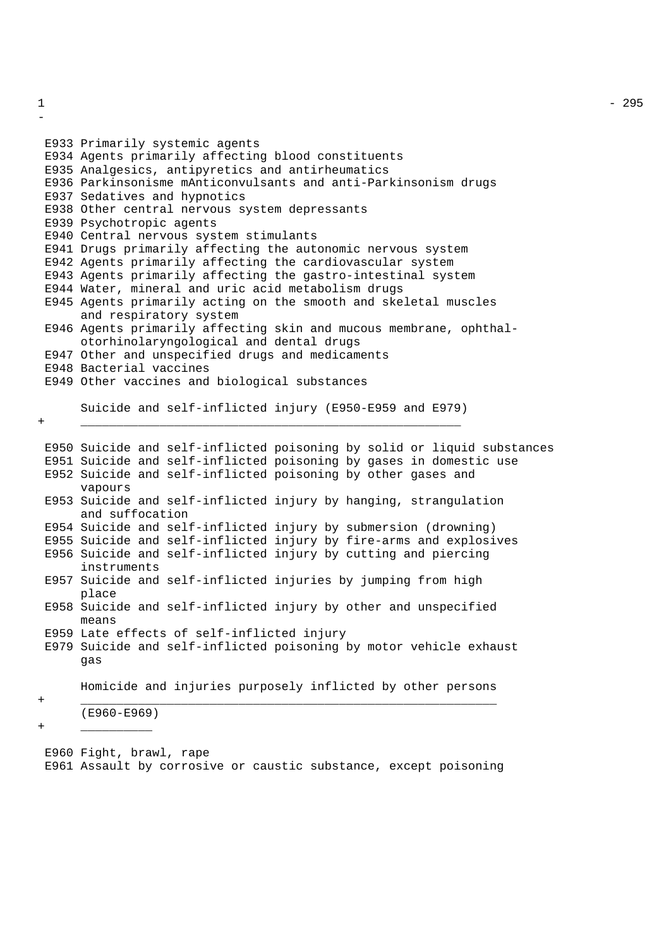```
E933 Primarily systemic agents
E934 Agents primarily affecting blood constituents
E935 Analgesics, antipyretics and antirheumatics
E936 Parkinsonisme mAnticonvulsants and anti-Parkinsonism drugs
E937 Sedatives and hypnotics
E938 Other central nervous system depressants
E939 Psychotropic agents
E940 Central nervous system stimulants
E941 Drugs primarily affecting the autonomic nervous system
E942 Agents primarily affecting the cardiovascular system
E943 Agents primarily affecting the gastro-intestinal system
E944 Water, mineral and uric acid metabolism drugs
E945 Agents primarily acting on the smooth and skeletal muscles
     and respiratory system
E946 Agents primarily affecting skin and mucous membrane, ophthal-
     otorhinolaryngological and dental drugs
E947 Other and unspecified drugs and medicaments
E948 Bacterial vaccines
E949 Other vaccines and biological substances
     Suicide and self-inflicted injury (E950-E959 and E979)
+ _____________________________________________________
E950 Suicide and self-inflicted poisoning by solid or liquid substances
E951 Suicide and self-inflicted poisoning by gases in domestic use
E952 Suicide and self-inflicted poisoning by other gases and
     vapours
E953 Suicide and self-inflicted injury by hanging, strangulation
     and suffocation
E954 Suicide and self-inflicted injury by submersion (drowning)
E955 Suicide and self-inflicted injury by fire-arms and explosives
E956 Suicide and self-inflicted injury by cutting and piercing
     instruments
E957 Suicide and self-inflicted injuries by jumping from high
     place
E958 Suicide and self-inflicted injury by other and unspecified
     means
E959 Late effects of self-inflicted injury
E979 Suicide and self-inflicted poisoning by motor vehicle exhaust
     gas
     Homicide and injuries purposely inflicted by other persons
+ __________________________________________________________
```
(E960-E969) + \_\_\_\_\_\_\_\_\_\_

E960 Fight, brawl, rape E961 Assault by corrosive or caustic substance, except poisoning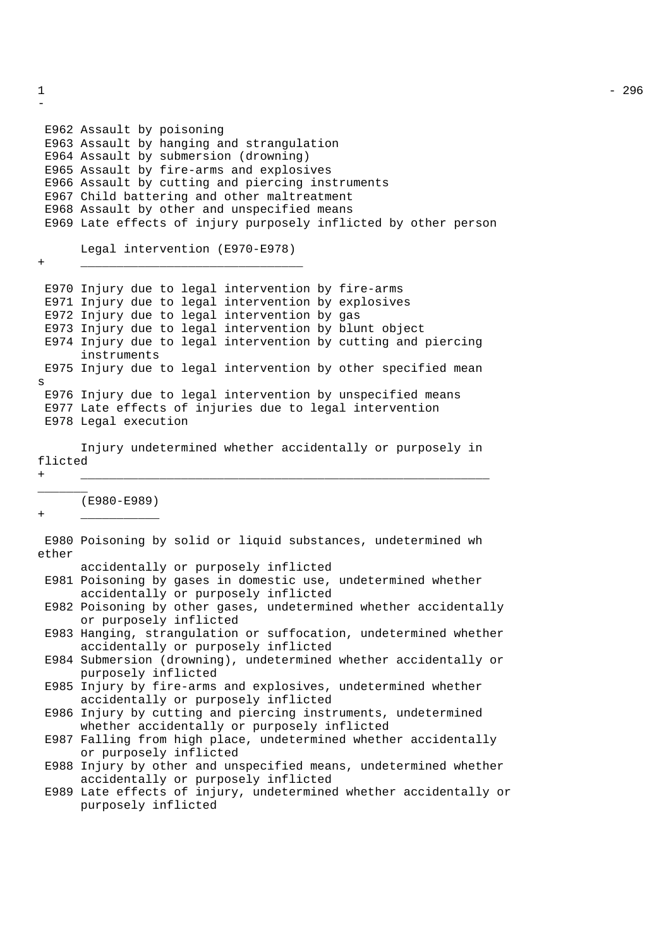```
-
E962 Assault by poisoning
E963 Assault by hanging and strangulation
E964 Assault by submersion (drowning)
E965 Assault by fire-arms and explosives
E966 Assault by cutting and piercing instruments
E967 Child battering and other maltreatment
E968 Assault by other and unspecified means
E969 Late effects of injury purposely inflicted by other person
     Legal intervention (E970-E978)
+ _______________________________
E970 Injury due to legal intervention by fire-arms
E971 Injury due to legal intervention by explosives
E972 Injury due to legal intervention by gas
E973 Injury due to legal intervention by blunt object
E974 Injury due to legal intervention by cutting and piercing
      instruments
E975 Injury due to legal intervention by other specified mean
s
E976 Injury due to legal intervention by unspecified means
E977 Late effects of injuries due to legal intervention
E978 Legal execution
      Injury undetermined whether accidentally or purposely in
flicted
+ _________________________________________________________
_______
     (E980-E989)
+ ___________
E980 Poisoning by solid or liquid substances, undetermined wh
ether
     accidentally or purposely inflicted
E981 Poisoning by gases in domestic use, undetermined whether
      accidentally or purposely inflicted
E982 Poisoning by other gases, undetermined whether accidentally
     or purposely inflicted
E983 Hanging, strangulation or suffocation, undetermined whether
     accidentally or purposely inflicted
E984 Submersion (drowning), undetermined whether accidentally or
      purposely inflicted
E985 Injury by fire-arms and explosives, undetermined whether
      accidentally or purposely inflicted
E986 Injury by cutting and piercing instruments, undetermined
     whether accidentally or purposely inflicted
E987 Falling from high place, undetermined whether accidentally
      or purposely inflicted
E988 Injury by other and unspecified means, undetermined whether
     accidentally or purposely inflicted
E989 Late effects of injury, undetermined whether accidentally or
     purposely inflicted
```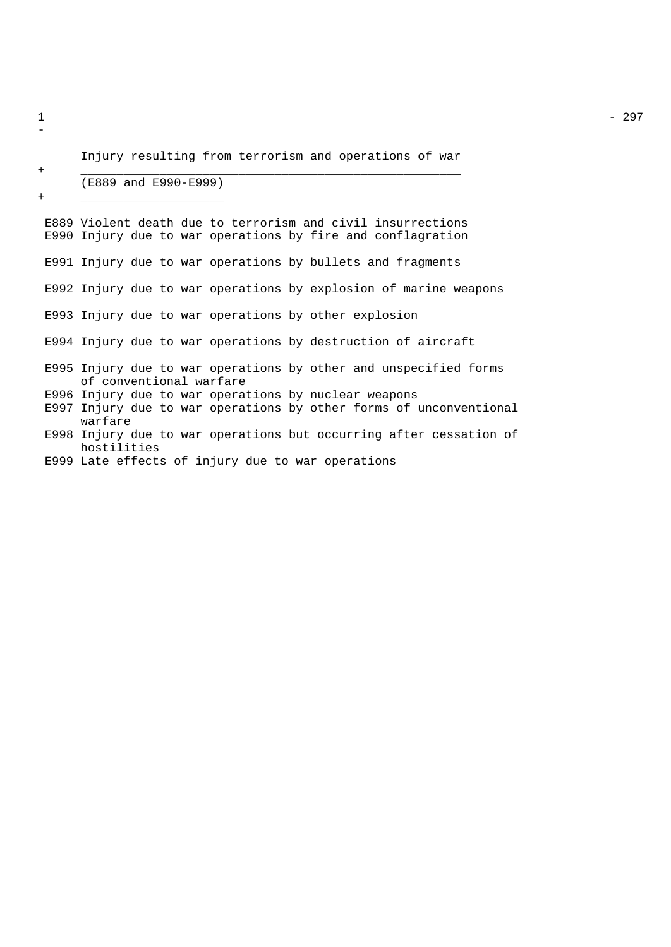```
Injury resulting from terrorism and operations of war
```
+ \_\_\_\_\_\_\_\_\_\_\_\_\_\_\_\_\_\_\_\_\_\_\_\_\_\_\_\_\_\_\_\_\_\_\_\_\_\_\_\_\_\_\_\_\_\_\_\_\_\_\_\_\_

# (E889 and E990-E999)

+ \_\_\_\_\_\_\_\_\_\_\_\_\_\_\_\_\_\_\_\_

E889 Violent death due to terrorism and civil insurrections E990 Injury due to war operations by fire and conflagration E991 Injury due to war operations by bullets and fragments E992 Injury due to war operations by explosion of marine weapons E993 Injury due to war operations by other explosion E994 Injury due to war operations by destruction of aircraft E995 Injury due to war operations by other and unspecified forms of conventional warfare E996 Injury due to war operations by nuclear weapons E997 Injury due to war operations by other forms of unconventional warfare E998 Injury due to war operations but occurring after cessation of hostilities E999 Late effects of injury due to war operations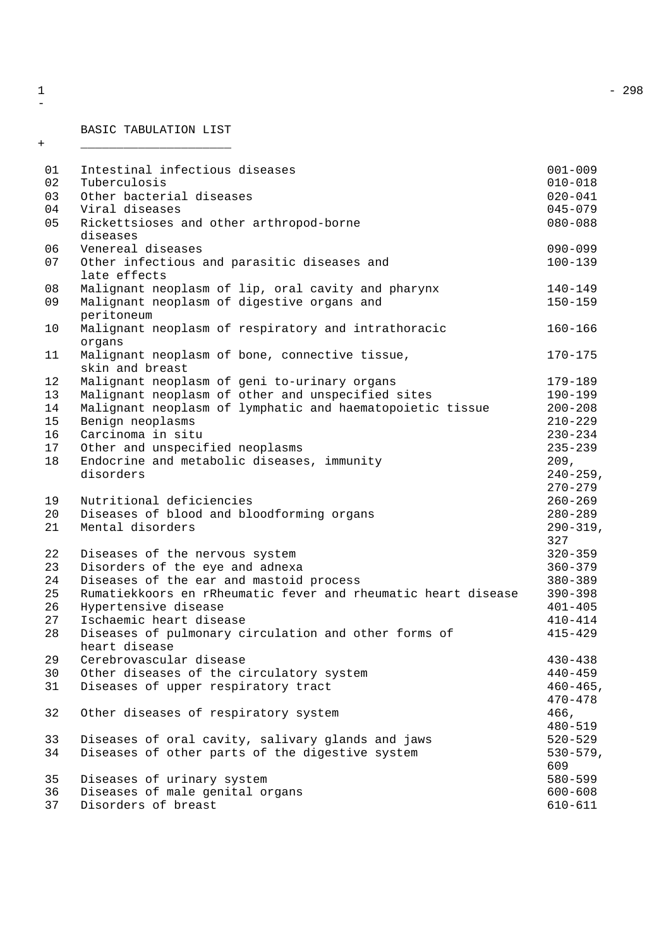## BASIC TABULATION LIST

+ \_\_\_\_\_\_\_\_\_\_\_\_\_\_\_\_\_\_\_\_\_

| 01 | Intestinal infectious diseases                                | $001 - 009$   |
|----|---------------------------------------------------------------|---------------|
| 02 | Tuberculosis                                                  | $010 - 018$   |
| 03 | Other bacterial diseases                                      | $020 - 041$   |
| 04 | Viral diseases                                                | $045 - 079$   |
| 05 | Rickettsioses and other arthropod-borne                       | $080 - 088$   |
|    | diseases                                                      |               |
| 06 | Venereal diseases                                             | $090 - 099$   |
| 07 | Other infectious and parasitic diseases and                   | $100 - 139$   |
|    | late effects                                                  |               |
| 08 | Malignant neoplasm of lip, oral cavity and pharynx            | 140-149       |
| 09 | Malignant neoplasm of digestive organs and<br>peritoneum      | $150 - 159$   |
| 10 | Malignant neoplasm of respiratory and intrathoracic           | $160 - 166$   |
|    | organs                                                        |               |
| 11 | Malignant neoplasm of bone, connective tissue,                | 170-175       |
|    | skin and breast                                               |               |
| 12 | Malignant neoplasm of geni to-urinary organs                  | 179-189       |
| 13 | Malignant neoplasm of other and unspecified sites             | 190-199       |
| 14 | Malignant neoplasm of lymphatic and haematopoietic tissue     | $200 - 208$   |
| 15 | Benign neoplasms                                              | $210 - 229$   |
| 16 | Carcinoma in situ                                             | $230 - 234$   |
| 17 | Other and unspecified neoplasms                               | $235 - 239$   |
| 18 | Endocrine and metabolic diseases, immunity                    | 209,          |
|    | disorders                                                     | $240 - 259$ , |
|    |                                                               | $270 - 279$   |
| 19 | Nutritional deficiencies                                      | $260 - 269$   |
| 20 | Diseases of blood and bloodforming organs                     | 280-289       |
| 21 | Mental disorders                                              | $290 - 319$ , |
|    |                                                               | 327           |
| 22 | Diseases of the nervous system                                | $320 - 359$   |
| 23 | Disorders of the eye and adnexa                               | $360 - 379$   |
| 24 | Diseases of the ear and mastoid process                       | $380 - 389$   |
| 25 | Rumatiekkoors en rRheumatic fever and rheumatic heart disease | $390 - 398$   |
| 26 | Hypertensive disease                                          | $401 - 405$   |
| 27 | Ischaemic heart disease                                       | $410 - 414$   |
| 28 | Diseases of pulmonary circulation and other forms of          | $415 - 429$   |
|    | heart disease                                                 |               |
| 29 | Cerebrovascular disease                                       | 430-438       |
| 30 | Other diseases of the circulatory system                      | $440 - 459$   |
| 31 | Diseases of upper respiratory tract                           | $460 - 465$ , |
|    |                                                               | $470 - 478$   |
| 32 | Other diseases of respiratory system                          | 466,          |
|    |                                                               | $480 - 519$   |
| 33 | Diseases of oral cavity, salivary glands and jaws             | $520 - 529$   |
| 34 | Diseases of other parts of the digestive system               | $530 - 579$ , |
|    |                                                               | 609           |
| 35 | Diseases of urinary system                                    | 580-599       |
| 36 | Diseases of male genital organs                               | $600 - 608$   |
| 37 | Disorders of breast                                           | 610-611       |
|    |                                                               |               |